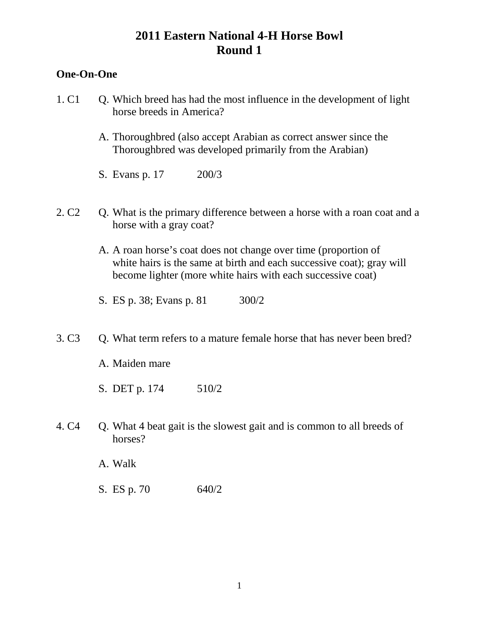### **One-On-One**

- 1. C1 Q. Which breed has had the most influence in the development of light horse breeds in America?
	- A. Thoroughbred (also accept Arabian as correct answer since the Thoroughbred was developed primarily from the Arabian)
	- S. Evans p. 17 200/3
- 2. C2 Q. What is the primary difference between a horse with a roan coat and a horse with a gray coat?
	- A. A roan horse's coat does not change over time (proportion of white hairs is the same at birth and each successive coat); gray will become lighter (more white hairs with each successive coat)
	- S. ES p. 38; Evans p. 81 300/2
- 3. C3 Q. What term refers to a mature female horse that has never been bred?
	- A. Maiden mare
	- S. DET p. 174 510/2
- 4. C4 O. What 4 beat gait is the slowest gait and is common to all breeds of horses?
	- A. Walk
	- S. ES p. 70 640/2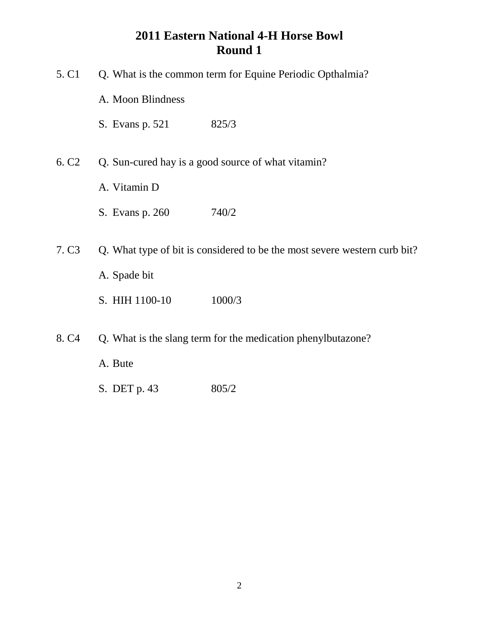| 5. C <sub>1</sub> | Q. What is the common term for Equine Periodic Opthalmia? |                                                                           |
|-------------------|-----------------------------------------------------------|---------------------------------------------------------------------------|
|                   | A. Moon Blindness                                         |                                                                           |
|                   | S. Evans p. 521                                           | 825/3                                                                     |
| 6. C <sub>2</sub> | Q. Sun-cured hay is a good source of what vitamin?        |                                                                           |
|                   | A. Vitamin D                                              |                                                                           |
|                   | S. Evans p. 260                                           | 740/2                                                                     |
| 7. C <sub>3</sub> |                                                           | Q. What type of bit is considered to be the most severe western curb bit? |
|                   | A. Spade bit                                              |                                                                           |
|                   | S. HIH 1100-10                                            | 1000/3                                                                    |
| 8. C <sub>4</sub> |                                                           | Q. What is the slang term for the medication phenylbutazone?              |
|                   | A. Bute                                                   |                                                                           |
|                   |                                                           |                                                                           |

S. DET p. 43 805/2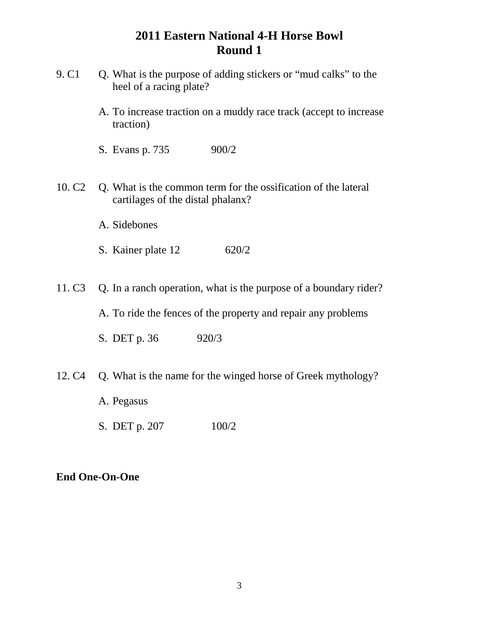- 9. C1 Q. What is the purpose of adding stickers or "mud calks" to the heel of a racing plate?
	- A. To increase traction on a muddy race track (accept to increase traction)
	- S. Evans p. 735 900/2
- 10. C2 Q. What is the common term for the ossification of the lateral cartilages of the distal phalanx?
	- A. Sidebones
	- S. Kainer plate 12 620/2
- 11. C3 Q. In a ranch operation, what is the purpose of a boundary rider?

A. To ride the fences of the property and repair any problems

- S. DET p. 36 920/3
- 12. C4 Q. What is the name for the winged horse of Greek mythology?
	- A. Pegasus
	- S. DET p. 207 100/2

#### **End One-On-One**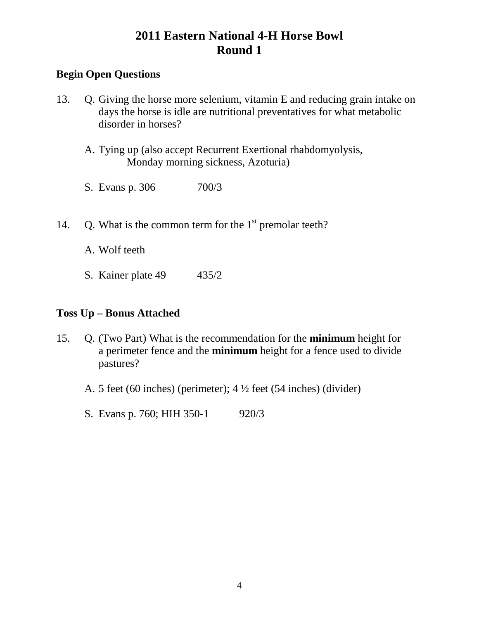### **Begin Open Questions**

- 13. Q. Giving the horse more selenium, vitamin E and reducing grain intake on days the horse is idle are nutritional preventatives for what metabolic disorder in horses?
	- A. Tying up (also accept Recurrent Exertional rhabdomyolysis, Monday morning sickness, Azoturia)
	- S. Evans p. 306 700/3
- 14. Q. What is the common term for the  $1<sup>st</sup>$  premolar teeth?

A. Wolf teeth

S. Kainer plate 49 435/2

### **Toss Up – Bonus Attached**

- 15. Q. (Two Part) What is the recommendation for the **minimum** height for a perimeter fence and the **minimum** height for a fence used to divide pastures?
	- A. 5 feet (60 inches) (perimeter); 4 ½ feet (54 inches) (divider)
	- S. Evans p. 760; HIH 350-1 920/3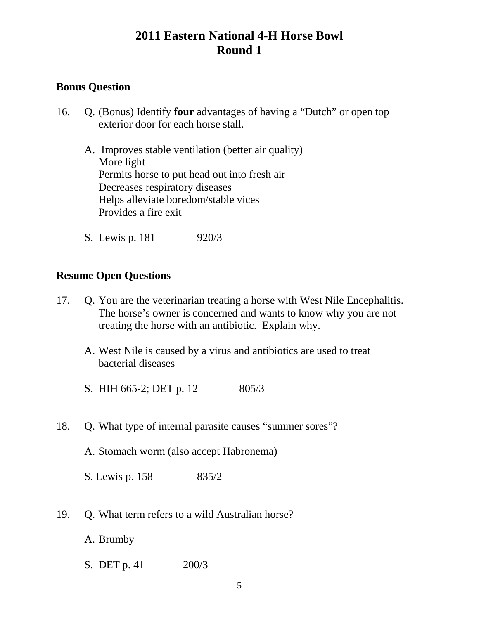### **Bonus Question**

- 16. Q. (Bonus) Identify **four** advantages of having a "Dutch" or open top exterior door for each horse stall.
	- A. Improves stable ventilation (better air quality) More light Permits horse to put head out into fresh air Decreases respiratory diseases Helps alleviate boredom/stable vices Provides a fire exit
	- S. Lewis p. 181 920/3

#### **Resume Open Questions**

- 17. Q. You are the veterinarian treating a horse with West Nile Encephalitis. The horse's owner is concerned and wants to know why you are not treating the horse with an antibiotic. Explain why.
	- A. West Nile is caused by a virus and antibiotics are used to treat bacterial diseases
	- S. HIH 665-2; DET p. 12 805/3
- 18. O. What type of internal parasite causes "summer sores"?
	- A. Stomach worm (also accept Habronema)

S. Lewis p. 158 835/2

- 19. Q. What term refers to a wild Australian horse?
	- A. Brumby
	- S. DET p. 41 200/3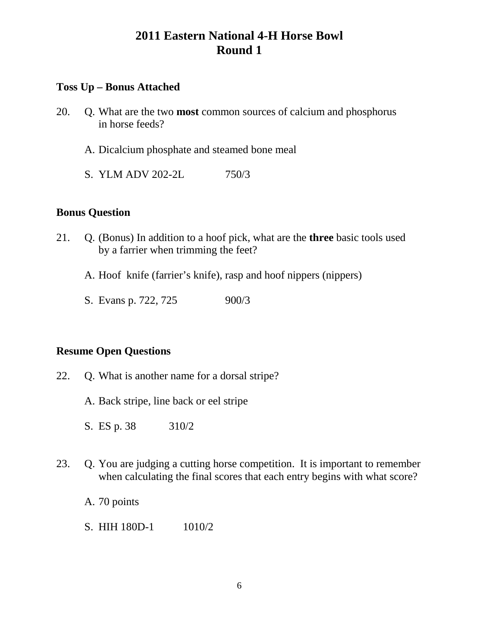#### **Toss Up – Bonus Attached**

- 20. Q. What are the two **most** common sources of calcium and phosphorus in horse feeds?
	- A. Dicalcium phosphate and steamed bone meal
	- S. YLM ADV 202-2L 750/3

#### **Bonus Question**

- 21. Q. (Bonus) In addition to a hoof pick, what are the **three** basic tools used by a farrier when trimming the feet?
	- A. Hoof knife (farrier's knife), rasp and hoof nippers (nippers)
	- S. Evans p. 722, 725 900/3

- 22. Q. What is another name for a dorsal stripe?
	- A. Back stripe, line back or eel stripe
	- S. ES p. 38 310/2
- 23. Q. You are judging a cutting horse competition. It is important to remember when calculating the final scores that each entry begins with what score?
	- A. 70 points
	- S. HIH 180D-1 1010/2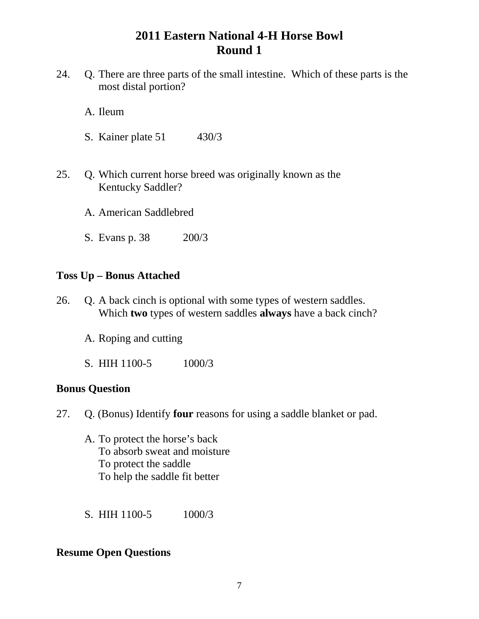- 24. Q. There are three parts of the small intestine. Which of these parts is the most distal portion?
	- A. Ileum
	- S. Kainer plate 51 430/3
- 25. Q. Which current horse breed was originally known as the Kentucky Saddler?
	- A. American Saddlebred
	- S. Evans p. 38 200/3

#### **Toss Up – Bonus Attached**

- 26. Q. A back cinch is optional with some types of western saddles. Which **two** types of western saddles **always** have a back cinch?
	- A. Roping and cutting
	- S. HIH 1100-5 1000/3

#### **Bonus Question**

- 27. Q. (Bonus) Identify **four** reasons for using a saddle blanket or pad.
	- A. To protect the horse's back To absorb sweat and moisture To protect the saddle To help the saddle fit better
	- S. HIH 1100-5 1000/3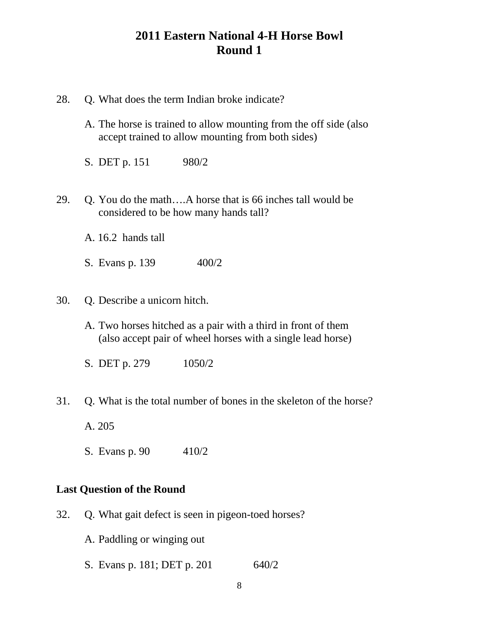| 28. | Q. What does the term Indian broke indicate?                                                                                 |  |
|-----|------------------------------------------------------------------------------------------------------------------------------|--|
|     | A. The horse is trained to allow mounting from the off side (also<br>accept trained to allow mounting from both sides)       |  |
|     | S. DET p. 151<br>980/2                                                                                                       |  |
| 29. | Q. You do the mathA horse that is 66 inches tall would be<br>considered to be how many hands tall?                           |  |
|     | A. 16.2 hands tall                                                                                                           |  |
|     | 400/2<br>S. Evans p. 139                                                                                                     |  |
| 30. | Q. Describe a unicorn hitch.                                                                                                 |  |
|     | A. Two horses hitched as a pair with a third in front of them<br>(also accept pair of wheel horses with a single lead horse) |  |
|     | S. DET p. 279<br>1050/2                                                                                                      |  |
| 31. | Q. What is the total number of bones in the skeleton of the horse?                                                           |  |
|     | A. 205                                                                                                                       |  |
|     | S. Evans p. 90 410/2                                                                                                         |  |
|     | <b>Last Question of the Round</b>                                                                                            |  |
| 32. | Q. What gait defect is seen in pigeon-toed horses?                                                                           |  |

- A. Paddling or winging out
- S. Evans p. 181; DET p. 201 640/2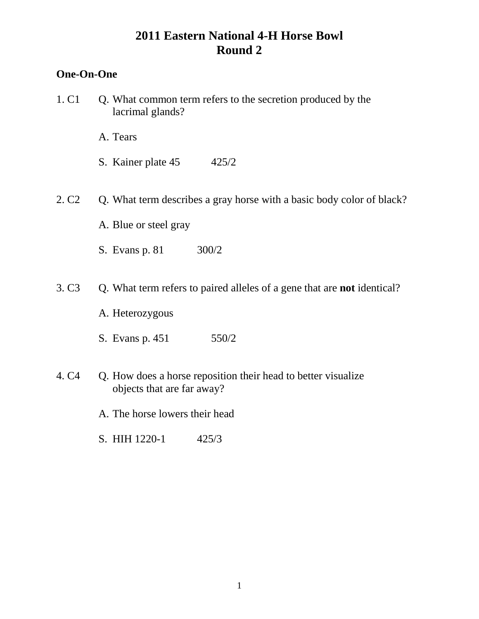### **One-On-One**

- 1. C1 Q. What common term refers to the secretion produced by the lacrimal glands?
	- A. Tears
	- S. Kainer plate 45 425/2
- 2. C2 Q. What term describes a gray horse with a basic body color of black?
	- A. Blue or steel gray
	- S. Evans p. 81 300/2
- 3. C3 Q. What term refers to paired alleles of a gene that are **not** identical?
	- A. Heterozygous
	- S. Evans p. 451 550/2
- 4. C4 Q. How does a horse reposition their head to better visualize objects that are far away?
	- A. The horse lowers their head
	- S. HIH 1220-1 425/3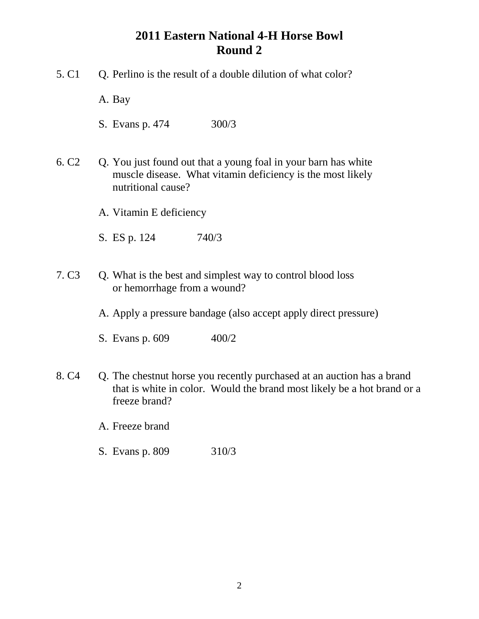- 5. C1 Q. Perlino is the result of a double dilution of what color?
	- A. Bay
	- S. Evans p. 474 300/3
- 6. C2 Q. You just found out that a young foal in your barn has white muscle disease. What vitamin deficiency is the most likely nutritional cause?
	- A. Vitamin E deficiency
	- S. ES p. 124 740/3
- 7. C3 Q. What is the best and simplest way to control blood loss or hemorrhage from a wound?
	- A. Apply a pressure bandage (also accept apply direct pressure)
	- S. Evans p. 609 400/2
- 8. C4 Q. The chestnut horse you recently purchased at an auction has a brand that is white in color. Would the brand most likely be a hot brand or a freeze brand?
	- A. Freeze brand
	- S. Evans p. 809 310/3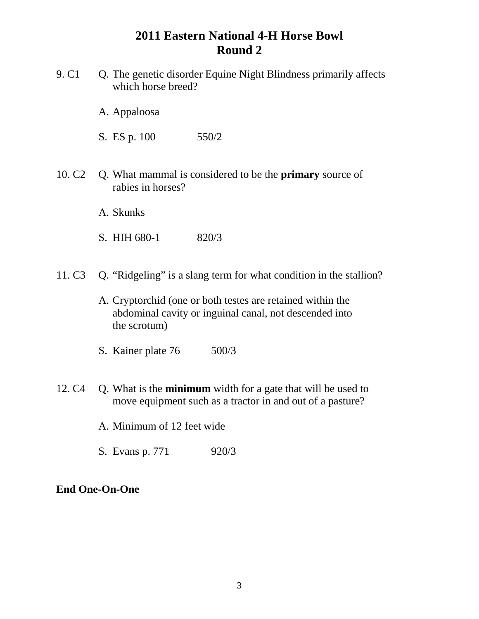- 9. C1 Q. The genetic disorder Equine Night Blindness primarily affects which horse breed?
	- A. Appaloosa

S. ES p. 100 550/2

- 10. C2 Q. What mammal is considered to be the **primary** source of rabies in horses?
	- A. Skunks
	- S. HIH 680-1 820/3
- 11. C3 Q. "Ridgeling" is a slang term for what condition in the stallion?
	- A. Cryptorchid (one or both testes are retained within the abdominal cavity or inguinal canal, not descended into the scrotum)
	- S. Kainer plate 76 500/3
- 12. C4 Q. What is the **minimum** width for a gate that will be used to move equipment such as a tractor in and out of a pasture?
	- A. Minimum of 12 feet wide
	- S. Evans p. 771 920/3

#### **End One-On-One**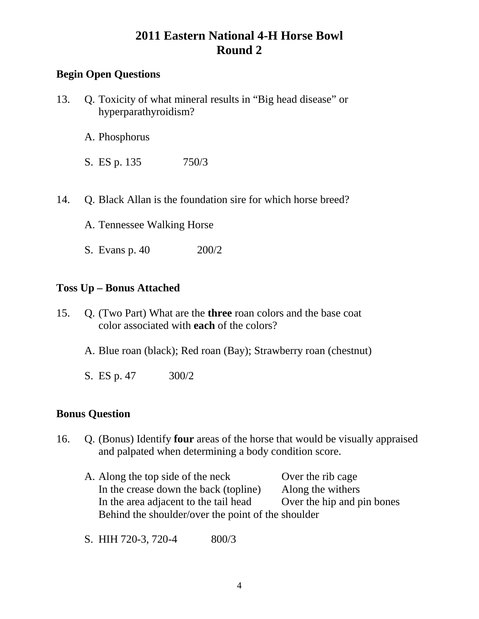### **Begin Open Questions**

- 13. Q. Toxicity of what mineral results in "Big head disease" or hyperparathyroidism?
	- A. Phosphorus
	- S. ES p. 135 750/3
- 14. Q. Black Allan is the foundation sire for which horse breed?
	- A. Tennessee Walking Horse
	- S. Evans p. 40 200/2

#### **Toss Up – Bonus Attached**

- 15. Q. (Two Part) What are the **three** roan colors and the base coat color associated with **each** of the colors?
	- A. Blue roan (black); Red roan (Bay); Strawberry roan (chestnut)
	- S. ES p. 47 300/2

#### **Bonus Question**

- 16. Q. (Bonus) Identify **four** areas of the horse that would be visually appraised and palpated when determining a body condition score.
	- A. Along the top side of the neck Over the rib cage In the crease down the back (topline) Along the withers In the area adjacent to the tail head Over the hip and pin bones Behind the shoulder/over the point of the shoulder
	- S. HIH 720-3, 720-4 800/3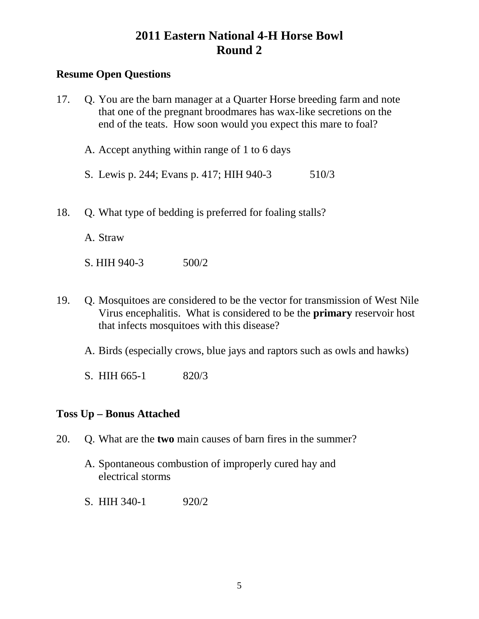### **Resume Open Questions**

| 17. | Q. You are the barn manager at a Quarter Horse breeding farm and note<br>that one of the pregnant broodmares has wax-like secretions on the<br>end of the teats. How soon would you expect this mare to foal? |
|-----|---------------------------------------------------------------------------------------------------------------------------------------------------------------------------------------------------------------|
|     | A. Accept anything within range of 1 to 6 days                                                                                                                                                                |
|     | S. Lewis p. 244; Evans p. 417; HIH 940-3<br>510/3                                                                                                                                                             |
| 18. | Q. What type of bedding is preferred for foaling stalls?                                                                                                                                                      |
|     | A Straw                                                                                                                                                                                                       |

S. HIH 940-3 500/2

- 19. Q. Mosquitoes are considered to be the vector for transmission of West Nile Virus encephalitis. What is considered to be the **primary** reservoir host that infects mosquitoes with this disease?
	- A. Birds (especially crows, blue jays and raptors such as owls and hawks)
	- S. HIH 665-1 820/3

### **Toss Up – Bonus Attached**

- 20. Q. What are the **two** main causes of barn fires in the summer?
	- A. Spontaneous combustion of improperly cured hay and electrical storms
	- S. HIH 340-1 920/2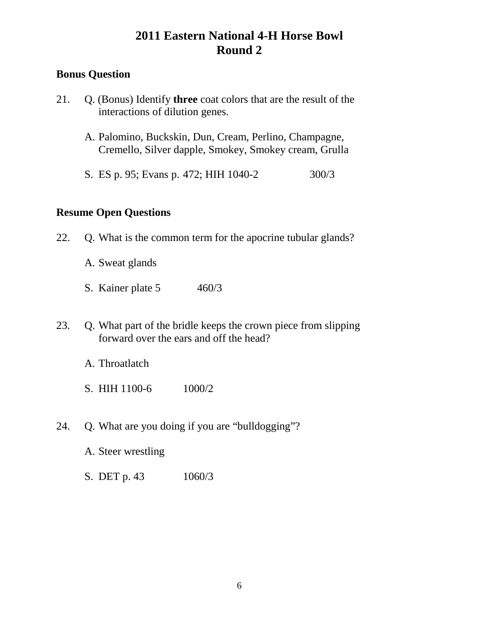### **Bonus Question**

- 21. Q. (Bonus) Identify **three** coat colors that are the result of the interactions of dilution genes.
	- A. Palomino, Buckskin, Dun, Cream, Perlino, Champagne, Cremello, Silver dapple, Smokey, Smokey cream, Grulla
	- S. ES p. 95; Evans p. 472; HIH 1040-2 300/3

- 22. Q. What is the common term for the apocrine tubular glands?
	- A. Sweat glands
	- S. Kainer plate 5 460/3
- 23. Q. What part of the bridle keeps the crown piece from slipping forward over the ears and off the head?
	- A. Throatlatch
	- S. HIH 1100-6 1000/2
- 24. Q. What are you doing if you are "bulldogging"?
	- A. Steer wrestling
	- S. DET p. 43 1060/3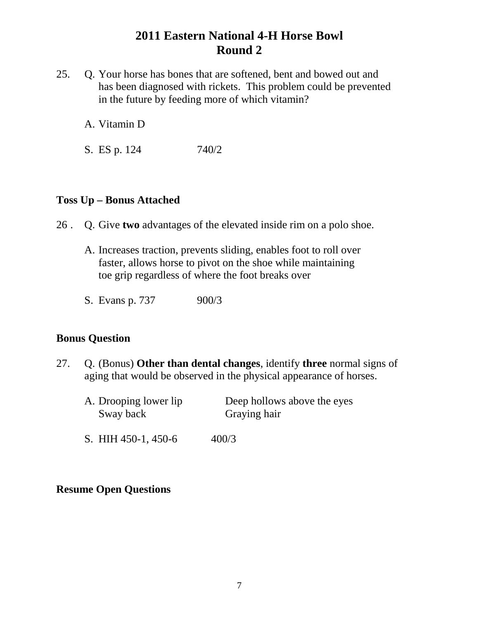- 25. Q. Your horse has bones that are softened, bent and bowed out and has been diagnosed with rickets. This problem could be prevented in the future by feeding more of which vitamin?
	- A. Vitamin D
	- S. ES p. 124 740/2

#### **Toss Up – Bonus Attached**

- 26 . Q. Give **two** advantages of the elevated inside rim on a polo shoe.
	- A. Increases traction, prevents sliding, enables foot to roll over faster, allows horse to pivot on the shoe while maintaining toe grip regardless of where the foot breaks over
	- S. Evans p. 737 900/3

#### **Bonus Question**

- 27. Q. (Bonus) **Other than dental changes**, identify **three** normal signs of aging that would be observed in the physical appearance of horses.
	- A. Drooping lower lip Deep hollows above the eyes Sway back Graying hair
	- S. HIH 450-1, 450-6 400/3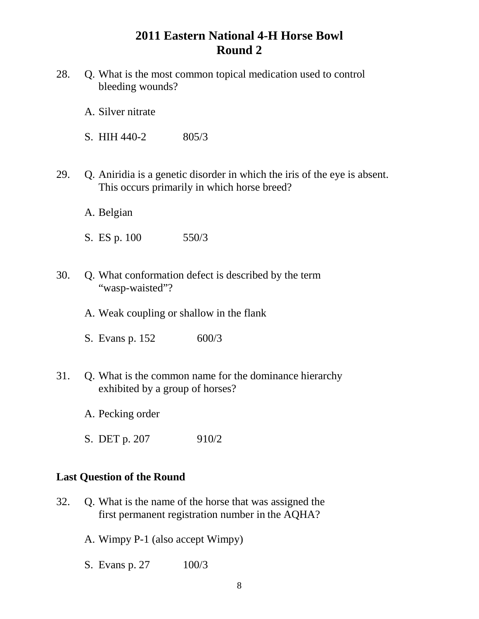- 28. Q. What is the most common topical medication used to control bleeding wounds?
	- A. Silver nitrate
	- S. HIH 440-2 805/3
- 29. Q. Aniridia is a genetic disorder in which the iris of the eye is absent. This occurs primarily in which horse breed?
	- A. Belgian
	- S. ES p. 100 550/3
- 30. Q. What conformation defect is described by the term "wasp-waisted"?
	- A. Weak coupling or shallow in the flank
	- S. Evans p. 152 600/3
- 31. Q. What is the common name for the dominance hierarchy exhibited by a group of horses?
	- A. Pecking order
	- S. DET p. 207 910/2

#### **Last Question of the Round**

- 32. Q. What is the name of the horse that was assigned the first permanent registration number in the AQHA?
	- A. Wimpy P-1 (also accept Wimpy)
	- S. Evans p. 27 100/3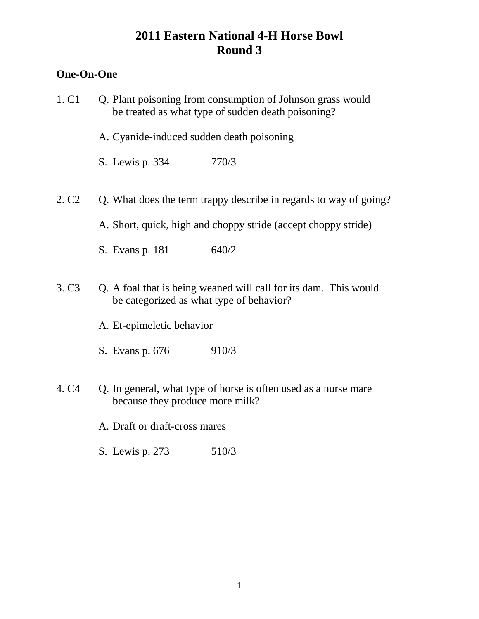### **One-On-One**

| 1. C1             |                                           | Q. Plant poisoning from consumption of Johnson grass would<br>be treated as what type of sudden death poisoning? |
|-------------------|-------------------------------------------|------------------------------------------------------------------------------------------------------------------|
|                   | A. Cyanide-induced sudden death poisoning |                                                                                                                  |
|                   | S. Lewis p. 334                           | 770/3                                                                                                            |
| 2. C <sub>2</sub> |                                           | Q. What does the term trappy describe in regards to way of going?                                                |
|                   |                                           | A. Short, quick, high and choppy stride (accept choppy stride)                                                   |
|                   | S. Evans p. 181                           | 640/2                                                                                                            |
| 3. C <sub>3</sub> | be categorized as what type of behavior?  | Q. A foal that is being weaned will call for its dam. This would                                                 |
|                   | A. Et-epimeletic behavior                 |                                                                                                                  |
|                   | S. Evans p. 676                           | 910/3                                                                                                            |
| 4. C <sub>4</sub> | because they produce more milk?           | Q. In general, what type of horse is often used as a nurse mare                                                  |
|                   | A. Draft or draft-cross mares             |                                                                                                                  |
|                   | S. Lewis p. 273                           | 510/3                                                                                                            |
|                   |                                           |                                                                                                                  |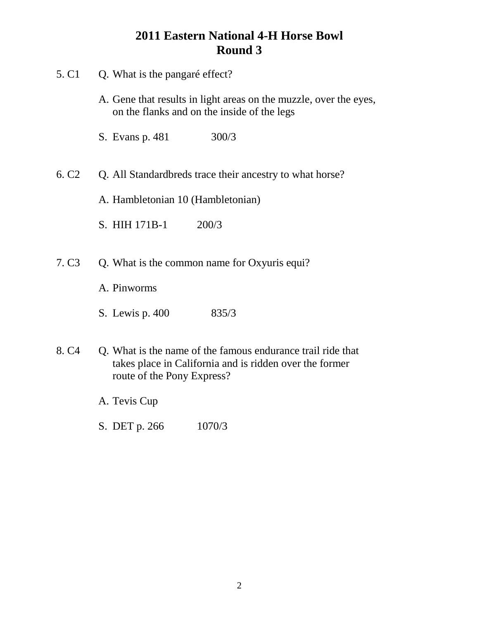- 5. C1 Q. What is the pangaré effect? A. Gene that results in light areas on the muzzle, over the eyes, on the flanks and on the inside of the legs S. Evans p. 481 300/3 6. C2 Q. All Standardbreds trace their ancestry to what horse? A. Hambletonian 10 (Hambletonian) S. HIH 171B-1 200/3 7. C3 Q. What is the common name for Oxyuris equi? A. Pinworms S. Lewis p. 400 835/3 8. C4 Q. What is the name of the famous endurance trail ride that takes place in California and is ridden over the former route of the Pony Express? A. Tevis Cup
	- S. DET p. 266 1070/3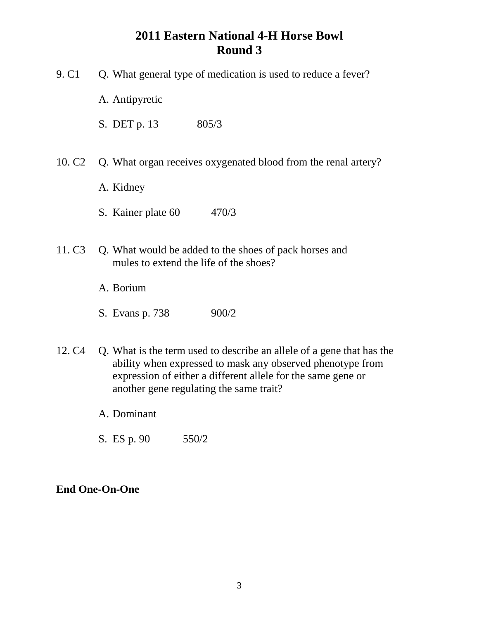- 9. C1 Q. What general type of medication is used to reduce a fever?
	- A. Antipyretic
	- S. DET p. 13 805/3
- 10. C2 Q. What organ receives oxygenated blood from the renal artery?
	- A. Kidney
	- S. Kainer plate 60 470/3
- 11. C3 Q. What would be added to the shoes of pack horses and mules to extend the life of the shoes?
	- A. Borium
	- S. Evans p. 738 900/2
- 12. C4 Q. What is the term used to describe an allele of a gene that has the ability when expressed to mask any observed phenotype from expression of either a different allele for the same gene or another gene regulating the same trait?
	- A. Dominant
	- S. ES p. 90 550/2

#### **End One-On-One**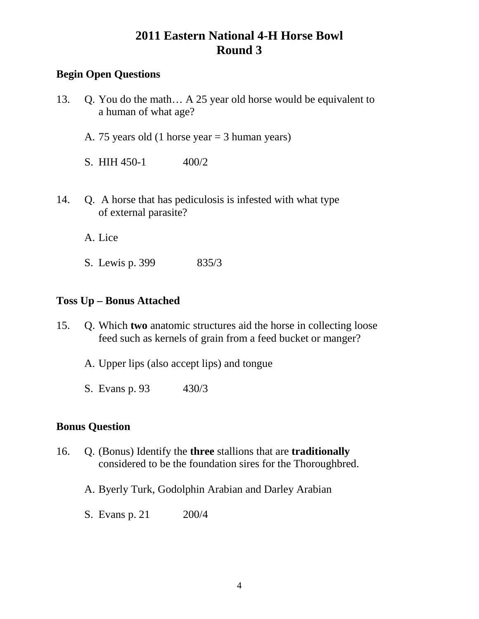### **Begin Open Questions**

- 13. Q. You do the math… A 25 year old horse would be equivalent to a human of what age?
	- A. 75 years old (1 horse year = 3 human years)
	- S. HIH  $450-1$   $400/2$
- 14. Q. A horse that has pediculosis is infested with what type of external parasite?

A. Lice

S. Lewis p. 399 835/3

#### **Toss Up – Bonus Attached**

- 15. Q. Which **two** anatomic structures aid the horse in collecting loose feed such as kernels of grain from a feed bucket or manger?
	- A. Upper lips (also accept lips) and tongue
	- S. Evans p. 93 430/3

### **Bonus Question**

- 16. Q. (Bonus) Identify the **three** stallions that are **traditionally** considered to be the foundation sires for the Thoroughbred.
	- A. Byerly Turk, Godolphin Arabian and Darley Arabian
	- S. Evans p. 21 200/4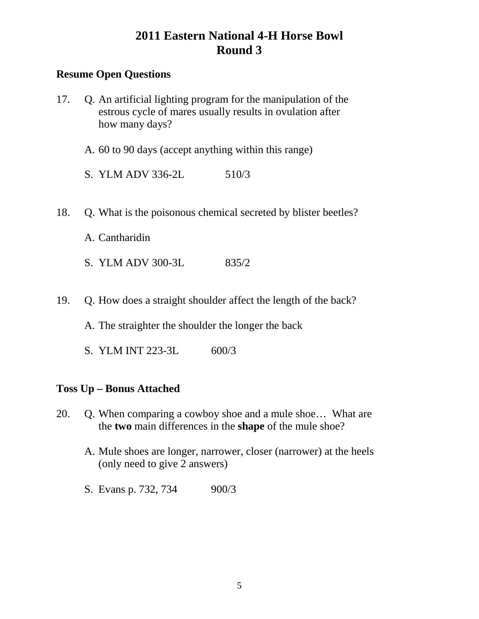### **Resume Open Questions**

- 17. Q. An artificial lighting program for the manipulation of the estrous cycle of mares usually results in ovulation after how many days?
	- A. 60 to 90 days (accept anything within this range)
	- S. YLM ADV 336-2L 510/3
- 18. Q. What is the poisonous chemical secreted by blister beetles?
	- A. Cantharidin
	- S. YLM ADV 300-3L 835/2
- 19. Q. How does a straight shoulder affect the length of the back?
	- A. The straighter the shoulder the longer the back
	- S. YLM INT 223-3L 600/3

#### **Toss Up – Bonus Attached**

- 20. Q. When comparing a cowboy shoe and a mule shoe… What are the **two** main differences in the **shape** of the mule shoe?
	- A. Mule shoes are longer, narrower, closer (narrower) at the heels (only need to give 2 answers)
	- S. Evans p. 732, 734 900/3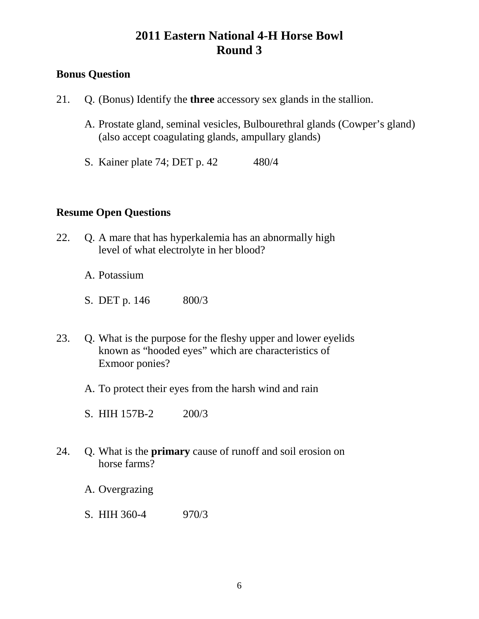### **Bonus Question**

- 21. Q. (Bonus) Identify the **three** accessory sex glands in the stallion.
	- A. Prostate gland, seminal vesicles, Bulbourethral glands (Cowper's gland) (also accept coagulating glands, ampullary glands)
	- S. Kainer plate 74; DET p. 42 480/4

- 22. Q. A mare that has hyperkalemia has an abnormally high level of what electrolyte in her blood?
	- A. Potassium
	- S. DET p. 146 800/3
- 23. Q. What is the purpose for the fleshy upper and lower eyelids known as "hooded eyes" which are characteristics of Exmoor ponies?
	- A. To protect their eyes from the harsh wind and rain
	- S. HIH 157B-2 200/3
- 24. Q. What is the **primary** cause of runoff and soil erosion on horse farms?
	- A. Overgrazing
	- S. HIH 360-4 970/3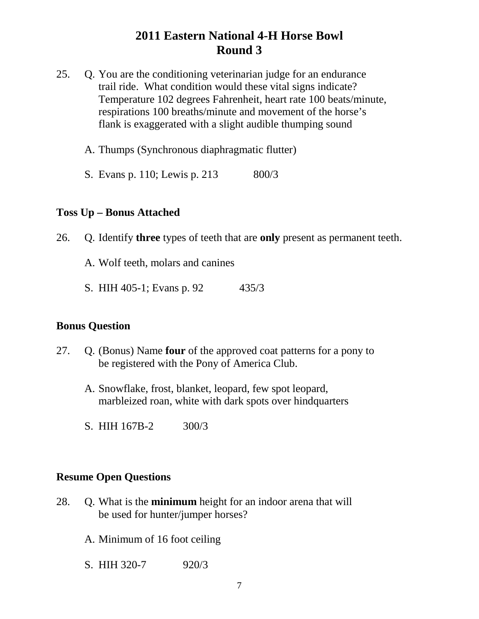- 25. Q. You are the conditioning veterinarian judge for an endurance trail ride. What condition would these vital signs indicate? Temperature 102 degrees Fahrenheit, heart rate 100 beats/minute, respirations 100 breaths/minute and movement of the horse's flank is exaggerated with a slight audible thumping sound
	- A. Thumps (Synchronous diaphragmatic flutter)
	- S. Evans p. 110; Lewis p. 213 800/3

#### **Toss Up – Bonus Attached**

- 26. Q. Identify **three** types of teeth that are **only** present as permanent teeth.
	- A. Wolf teeth, molars and canines
	- S. HIH 405-1; Evans p. 92 435/3

#### **Bonus Question**

- 27. Q. (Bonus) Name **four** of the approved coat patterns for a pony to be registered with the Pony of America Club.
	- A. Snowflake, frost, blanket, leopard, few spot leopard, marbleized roan, white with dark spots over hindquarters
	- S. HIH 167B-2 300/3

- 28. Q. What is the **minimum** height for an indoor arena that will be used for hunter/jumper horses?
	- A. Minimum of 16 foot ceiling
	- S. HIH 320-7 920/3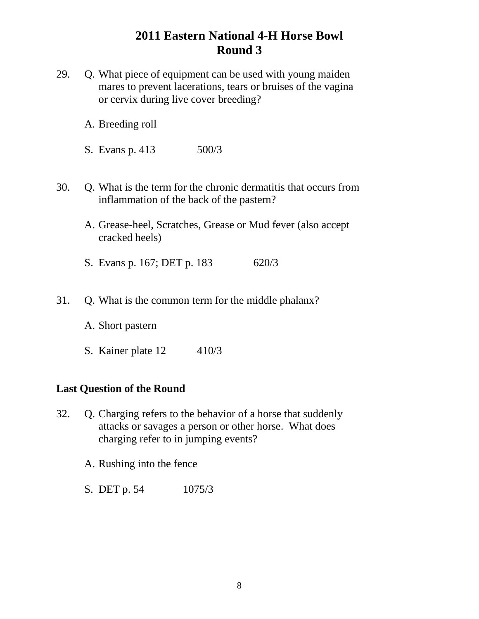- 29. Q. What piece of equipment can be used with young maiden mares to prevent lacerations, tears or bruises of the vagina or cervix during live cover breeding?
	- A. Breeding roll
	- S. Evans p. 413 500/3
- 30. Q. What is the term for the chronic dermatitis that occurs from inflammation of the back of the pastern?
	- A. Grease-heel, Scratches, Grease or Mud fever (also accept cracked heels)
	- S. Evans p. 167; DET p. 183 620/3
- 31. Q. What is the common term for the middle phalanx?
	- A. Short pastern
	- S. Kainer plate 12 410/3

#### **Last Question of the Round**

- 32. Q. Charging refers to the behavior of a horse that suddenly attacks or savages a person or other horse. What does charging refer to in jumping events?
	- A. Rushing into the fence
	- S. DET p. 54 1075/3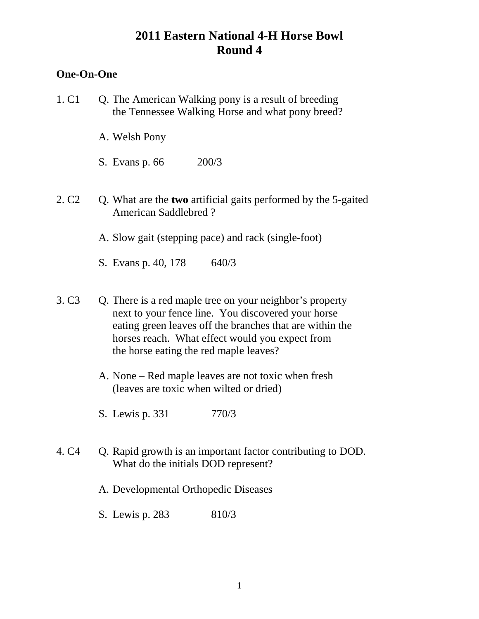#### **One-On-One**

1. C1 Q. The American Walking pony is a result of breeding the Tennessee Walking Horse and what pony breed? A. Welsh Pony S. Evans p. 66 200/3 2. C2 Q. What are the **two** artificial gaits performed by the 5-gaited American Saddlebred ? A. Slow gait (stepping pace) and rack (single-foot) S. Evans p. 40, 178 640/3 3. C3 Q. There is a red maple tree on your neighbor's property next to your fence line. You discovered your horse eating green leaves off the branches that are within the horses reach. What effect would you expect from the horse eating the red maple leaves? A. None – Red maple leaves are not toxic when fresh (leaves are toxic when wilted or dried) S. Lewis p. 331 770/3 4. C4 Q. Rapid growth is an important factor contributing to DOD. What do the initials DOD represent? A. Developmental Orthopedic Diseases S. Lewis p. 283 810/3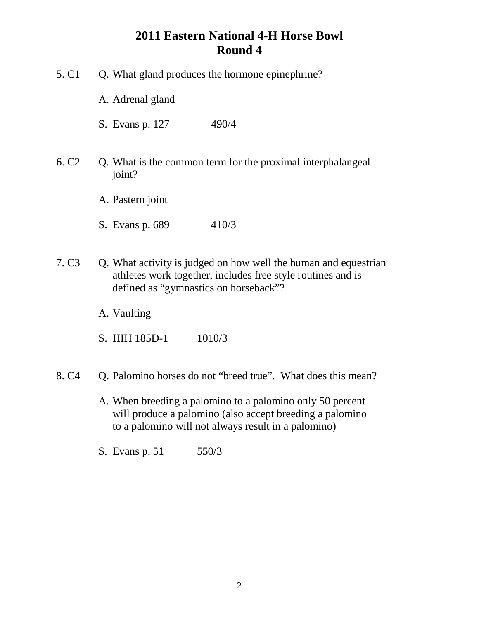- 5. C1 Q. What gland produces the hormone epinephrine? A. Adrenal gland S. Evans p. 127 490/4 6. C2 Q. What is the common term for the proximal interphalangeal joint? A. Pastern joint S. Evans p. 689 410/3 7. C3 Q. What activity is judged on how well the human and equestrian athletes work together, includes free style routines and is defined as "gymnastics on horseback"? A. Vaulting
	- S. HIH 185D-1 1010/3
- 8. C4 Q. Palomino horses do not "breed true". What does this mean?
	- A. When breeding a palomino to a palomino only 50 percent will produce a palomino (also accept breeding a palomino to a palomino will not always result in a palomino)
	- S. Evans p. 51 550/3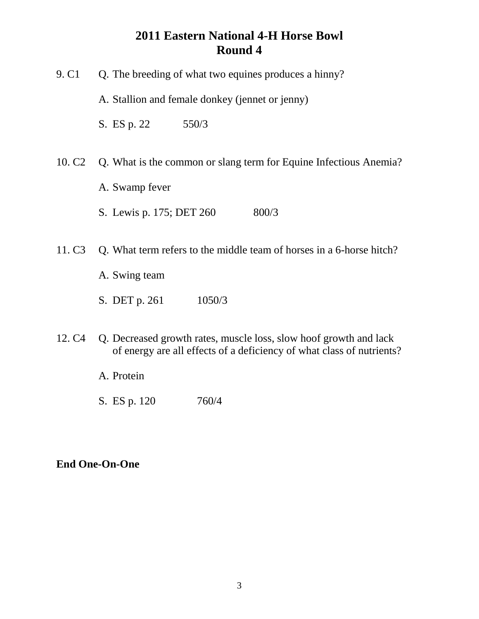| 9. C <sub>1</sub>  | Q. The breeding of what two equines produces a hinny?                                                                                      |
|--------------------|--------------------------------------------------------------------------------------------------------------------------------------------|
|                    | A. Stallion and female donkey (jennet or jenny)                                                                                            |
|                    | S. ES p. 22<br>550/3                                                                                                                       |
| 10. C <sub>2</sub> | Q. What is the common or slang term for Equine Infectious Anemia?                                                                          |
|                    | A. Swamp fever                                                                                                                             |
|                    | 800/3<br>S. Lewis p. 175; DET 260                                                                                                          |
| 11. C <sub>3</sub> | Q. What term refers to the middle team of horses in a 6-horse hitch?                                                                       |
|                    | A. Swing team                                                                                                                              |
|                    | S. DET p. 261<br>1050/3                                                                                                                    |
| 12. C <sub>4</sub> | Q. Decreased growth rates, muscle loss, slow hoof growth and lack<br>of energy are all effects of a deficiency of what class of nutrients? |
|                    | A. Protein                                                                                                                                 |
|                    | 760/4<br>S. ES p. 120                                                                                                                      |

**End One-On-One**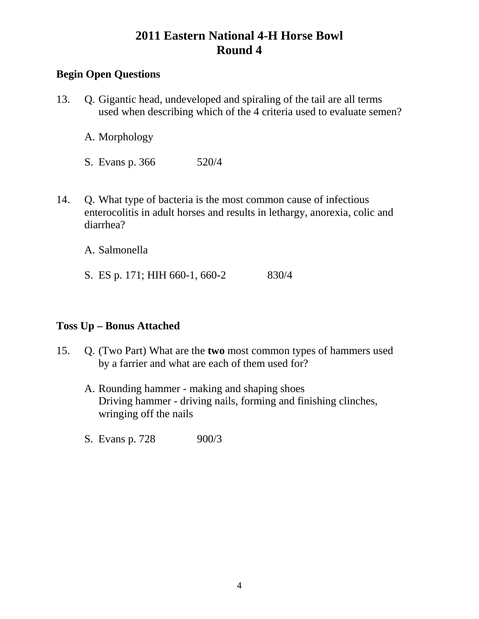### **Begin Open Questions**

13. Q. Gigantic head, undeveloped and spiraling of the tail are all terms used when describing which of the 4 criteria used to evaluate semen?

A. Morphology

S. Evans p. 366 520/4

14. Q. What type of bacteria is the most common cause of infectious enterocolitis in adult horses and results in lethargy, anorexia, colic and diarrhea?

A. Salmonella

S. ES p. 171; HIH 660-1, 660-2 830/4

### **Toss Up – Bonus Attached**

- 15. Q. (Two Part) What are the **two** most common types of hammers used by a farrier and what are each of them used for?
	- A. Rounding hammer making and shaping shoes Driving hammer - driving nails, forming and finishing clinches, wringing off the nails
	- S. Evans p. 728 900/3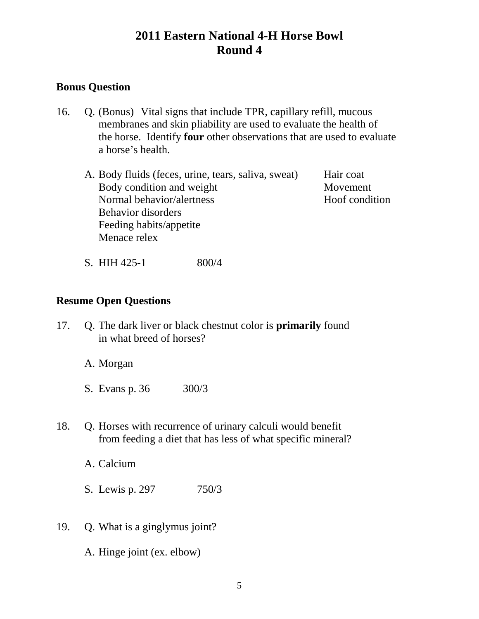### **Bonus Question**

- 16. Q. (Bonus) Vital signs that include TPR, capillary refill, mucous membranes and skin pliability are used to evaluate the health of the horse. Identify **four** other observations that are used to evaluate a horse's health.
	- A. Body fluids (feces, urine, tears, saliva, sweat) Hair coat Body condition and weight Movement Normal behavior/alertness Hoof condition Behavior disorders Feeding habits/appetite Menace relex

S. HIH 425-1 800/4

#### **Resume Open Questions**

17. Q. The dark liver or black chestnut color is **primarily** found in what breed of horses?

A. Morgan

- S. Evans p. 36 300/3
- 18. Q. Horses with recurrence of urinary calculi would benefit from feeding a diet that has less of what specific mineral?

A. Calcium

S. Lewis p. 297 750/3

19. Q. What is a ginglymus joint?

A. Hinge joint (ex. elbow)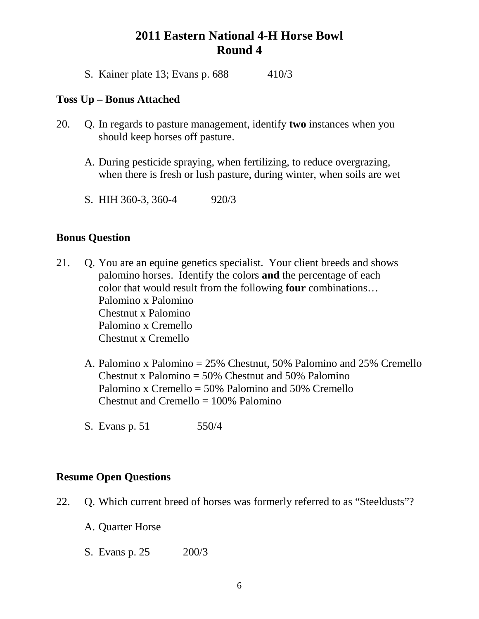S. Kainer plate 13; Evans p. 688 410/3

#### **Toss Up – Bonus Attached**

- 20. Q. In regards to pasture management, identify **two** instances when you should keep horses off pasture.
	- A. During pesticide spraying, when fertilizing, to reduce overgrazing, when there is fresh or lush pasture, during winter, when soils are wet
	- S. HIH 360-3, 360-4 920/3

#### **Bonus Question**

- 21. Q. You are an equine genetics specialist. Your client breeds and shows palomino horses. Identify the colors **and** the percentage of each color that would result from the following **four** combinations… Palomino x Palomino Chestnut x Palomino Palomino x Cremello Chestnut x Cremello
	- A. Palomino x Palomino = 25% Chestnut, 50% Palomino and 25% Cremello Chestnut x Palomino  $= 50\%$  Chestnut and 50% Palomino Palomino x Cremello = 50% Palomino and 50% Cremello Chestnut and Cremello  $= 100\%$  Palomino
	- S. Evans p. 51 550/4

- 22. Q. Which current breed of horses was formerly referred to as "Steeldusts"?
	- A. Quarter Horse
	- S. Evans p. 25 200/3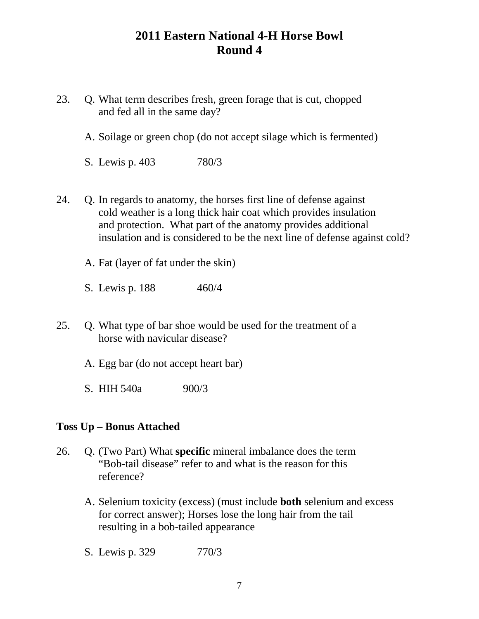- 23. Q. What term describes fresh, green forage that is cut, chopped and fed all in the same day?
	- A. Soilage or green chop (do not accept silage which is fermented)
	- S. Lewis p. 403 780/3
- 24. Q. In regards to anatomy, the horses first line of defense against cold weather is a long thick hair coat which provides insulation and protection. What part of the anatomy provides additional insulation and is considered to be the next line of defense against cold?
	- A. Fat (layer of fat under the skin)
	- S. Lewis p. 188 460/4
- 25. Q. What type of bar shoe would be used for the treatment of a horse with navicular disease?
	- A. Egg bar (do not accept heart bar)
	- S. HIH 540a 900/3

#### **Toss Up – Bonus Attached**

- 26. Q. (Two Part) What **specific** mineral imbalance does the term "Bob-tail disease" refer to and what is the reason for this reference?
	- A. Selenium toxicity (excess) (must include **both** selenium and excess for correct answer); Horses lose the long hair from the tail resulting in a bob-tailed appearance
	- S. Lewis p. 329 770/3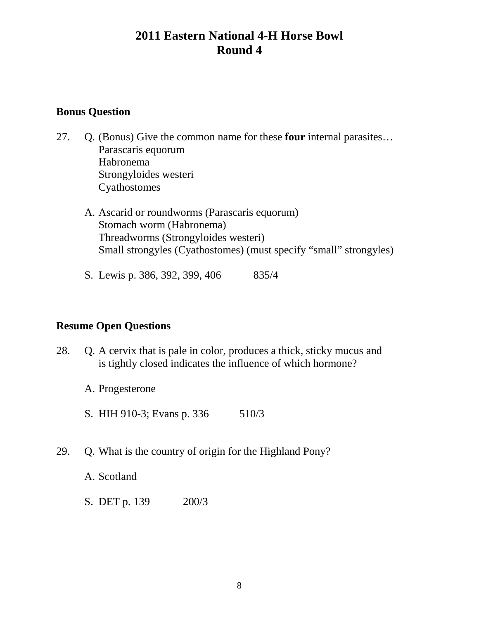#### **Bonus Question**

- 27. Q. (Bonus) Give the common name for these **four** internal parasites… Parascaris equorum Habronema Strongyloides westeri Cyathostomes
	- A. Ascarid or roundworms (Parascaris equorum) Stomach worm (Habronema) Threadworms (Strongyloides westeri) Small strongyles (Cyathostomes) (must specify "small" strongyles)
	- S. Lewis p. 386, 392, 399, 406 835/4

- 28. Q. A cervix that is pale in color, produces a thick, sticky mucus and is tightly closed indicates the influence of which hormone?
	- A. Progesterone
	- S. HIH 910-3; Evans p. 336 510/3
- 29. Q. What is the country of origin for the Highland Pony?
	- A. Scotland
	- S. DET p. 139 200/3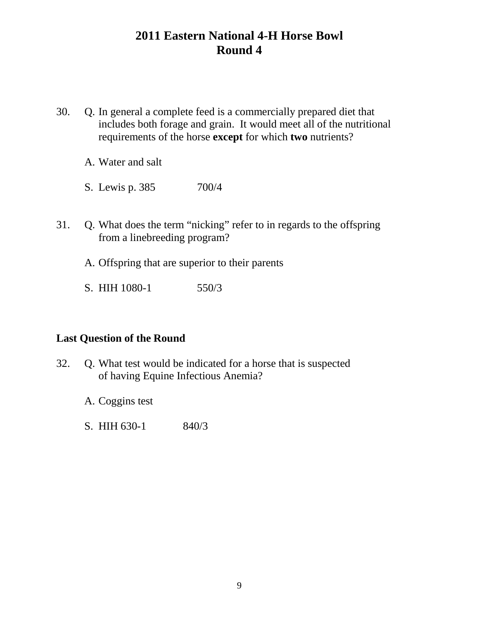- 30. Q. In general a complete feed is a commercially prepared diet that includes both forage and grain. It would meet all of the nutritional requirements of the horse **except** for which **two** nutrients?
	- A. Water and salt
	- S. Lewis p. 385 700/4
- 31. Q. What does the term "nicking" refer to in regards to the offspring from a linebreeding program?
	- A. Offspring that are superior to their parents
	- S. HIH 1080-1 550/3

#### **Last Question of the Round**

- 32. Q. What test would be indicated for a horse that is suspected of having Equine Infectious Anemia?
	- A. Coggins test
	- S. HIH 630-1 840/3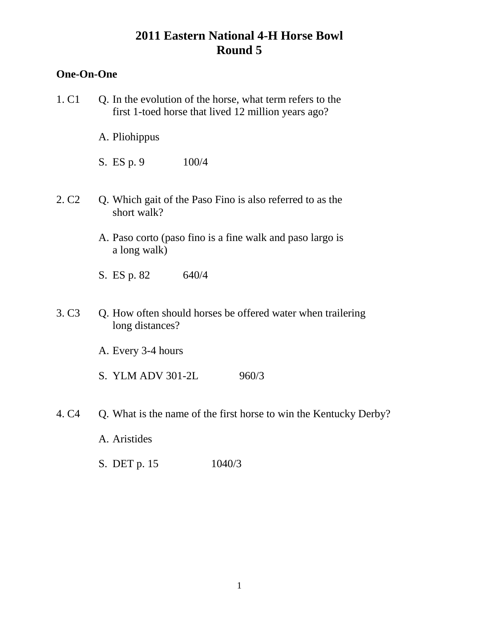### **One-On-One**

- 1. C1 Q. In the evolution of the horse, what term refers to the first 1-toed horse that lived 12 million years ago?
	- A. Pliohippus
	- S. ES p. 9 100/4
- 2. C2 Q. Which gait of the Paso Fino is also referred to as the short walk?
	- A. Paso corto (paso fino is a fine walk and paso largo is a long walk)
	- S. ES p. 82 640/4
- 3. C3 Q. How often should horses be offered water when trailering long distances?
	- A. Every 3-4 hours
	- S. YLM ADV 301-2L 960/3
- 4. C4 Q. What is the name of the first horse to win the Kentucky Derby?
	- A. Aristides
	- S. DET p. 15 1040/3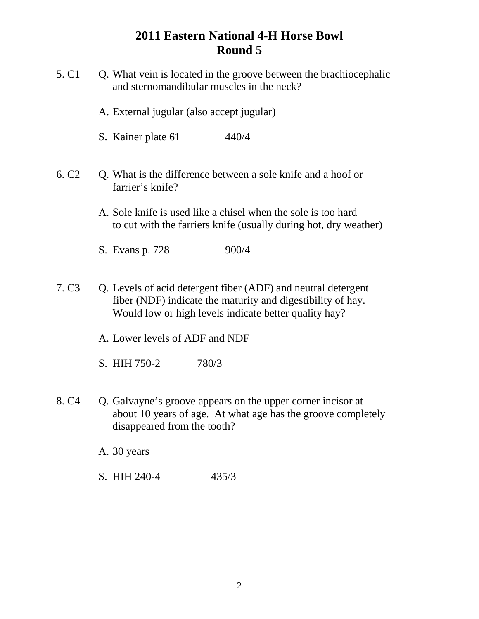| 5. C <sub>1</sub> | Q. What vein is located in the groove between the brachiocephalic<br>and sternomandibular muscles in the neck?                                                                        |
|-------------------|---------------------------------------------------------------------------------------------------------------------------------------------------------------------------------------|
|                   | A. External jugular (also accept jugular)                                                                                                                                             |
|                   | S. Kainer plate 61<br>440/4                                                                                                                                                           |
| 6. C <sub>2</sub> | Q. What is the difference between a sole knife and a hoof or<br>farrier's knife?                                                                                                      |
|                   | A. Sole knife is used like a chisel when the sole is too hard<br>to cut with the farriers knife (usually during hot, dry weather)                                                     |
|                   | 900/4<br>S. Evans p. 728                                                                                                                                                              |
| 7. C <sub>3</sub> | Q. Levels of acid detergent fiber (ADF) and neutral detergent<br>fiber (NDF) indicate the maturity and digestibility of hay.<br>Would low or high levels indicate better quality hay? |
|                   | A. Lower levels of ADF and NDF                                                                                                                                                        |
|                   | S. HIH 750-2<br>780/3                                                                                                                                                                 |
| 8. C <sub>4</sub> | Q. Galvayne's groove appears on the upper corner incisor at<br>about 10 years of age. At what age has the groove completely<br>disappeared from the tooth?                            |
|                   | A. 30 years                                                                                                                                                                           |
|                   | S. HIH 240-4<br>435/3                                                                                                                                                                 |
|                   |                                                                                                                                                                                       |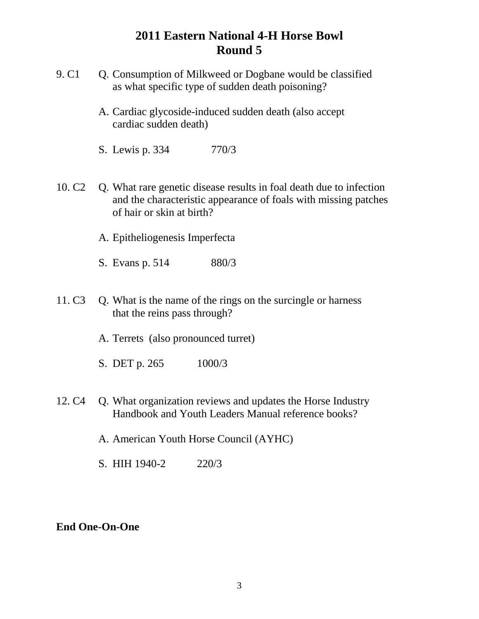- 9. C1 Q. Consumption of Milkweed or Dogbane would be classified as what specific type of sudden death poisoning?
	- A. Cardiac glycoside-induced sudden death (also accept cardiac sudden death)
	- S. Lewis p. 334 770/3
- 10. C2 Q. What rare genetic disease results in foal death due to infection and the characteristic appearance of foals with missing patches of hair or skin at birth?
	- A. Epitheliogenesis Imperfecta
	- S. Evans p. 514 880/3
- 11. C3 Q. What is the name of the rings on the surcingle or harness that the reins pass through?
	- A. Terrets (also pronounced turret)
	- S. DET p. 265 1000/3
- 12. C4 Q. What organization reviews and updates the Horse Industry Handbook and Youth Leaders Manual reference books?
	- A. American Youth Horse Council (AYHC)
	- S. HIH 1940-2 220/3

#### **End One-On-One**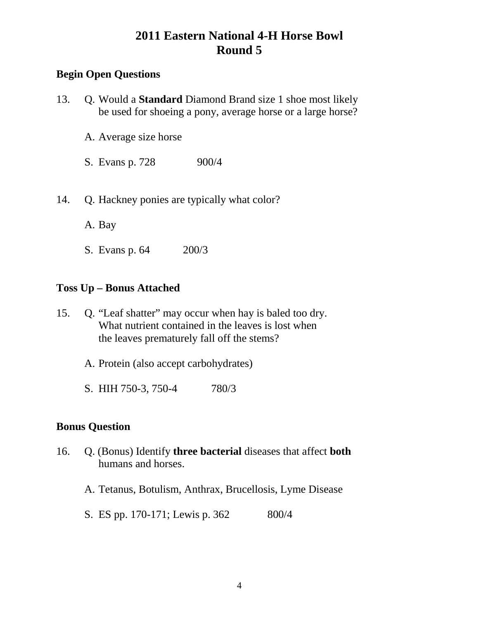## **Begin Open Questions**

| 13. Q. Would a <b>Standard</b> Diamond Brand size 1 shoe most likely |
|----------------------------------------------------------------------|
| be used for shoeing a pony, average horse or a large horse?          |

- A. Average size horse
- S. Evans p. 728 900/4
- 14. Q. Hackney ponies are typically what color?
	- A. Bay
	- S. Evans p. 64 200/3

### **Toss Up – Bonus Attached**

- 15. Q. "Leaf shatter" may occur when hay is baled too dry. What nutrient contained in the leaves is lost when the leaves prematurely fall off the stems?
	- A. Protein (also accept carbohydrates)
	- S. HIH 750-3, 750-4 780/3

### **Bonus Question**

- 16. Q. (Bonus) Identify **three bacterial** diseases that affect **both** humans and horses.
	- A. Tetanus, Botulism, Anthrax, Brucellosis, Lyme Disease
	- S. ES pp. 170-171; Lewis p. 362 800/4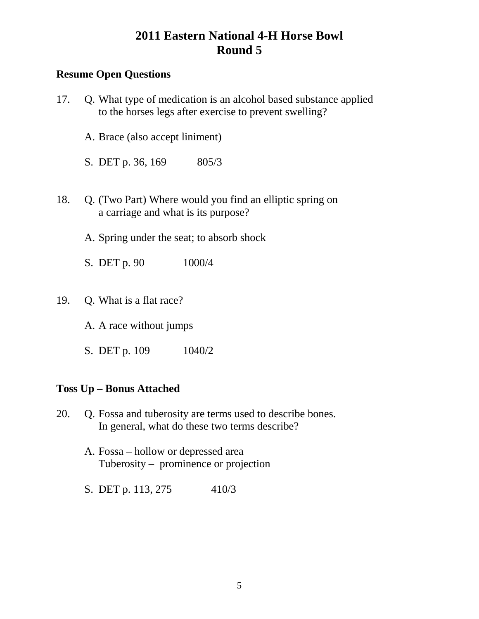## **Resume Open Questions**

| 17. | Q. What type of medication is an alcohol based substance applied<br>to the horses legs after exercise to prevent swelling? |
|-----|----------------------------------------------------------------------------------------------------------------------------|
|     | A. Brace (also accept liniment)                                                                                            |
|     | S. DET p. 36, 169 805/3                                                                                                    |
| 18. | Q. (Two Part) Where would you find an elliptic spring on<br>a carriage and what is its purpose?                            |
|     | A. Spring under the seat; to absorb shock                                                                                  |
|     | S. DET p. 90<br>1000/4                                                                                                     |
| 19. | Q. What is a flat race?                                                                                                    |
|     | A. A race without jumps                                                                                                    |
|     | S. DET p. 109 1040/2                                                                                                       |
|     | <b>Toss Up – Bonus Attached</b>                                                                                            |
|     | 20 O Egges and tuberosity are tarms used to describe bones                                                                 |

- 20. Q. Fossa and tuberosity are terms used to describe bones. In general, what do these two terms describe?
	- A. Fossa hollow or depressed area Tuberosity – prominence or projection
	- S. DET p. 113, 275 410/3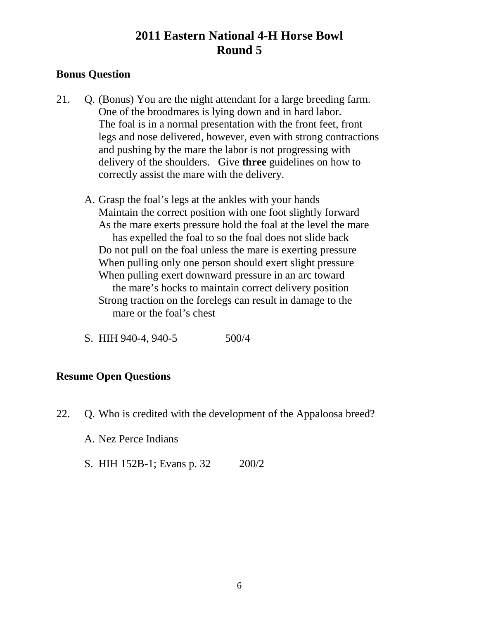### **Bonus Question**

- 21. Q. (Bonus) You are the night attendant for a large breeding farm. One of the broodmares is lying down and in hard labor. The foal is in a normal presentation with the front feet, front legs and nose delivered, however, even with strong contractions and pushing by the mare the labor is not progressing with delivery of the shoulders. Give **three** guidelines on how to correctly assist the mare with the delivery.
	- A. Grasp the foal's legs at the ankles with your hands Maintain the correct position with one foot slightly forward As the mare exerts pressure hold the foal at the level the mare has expelled the foal to so the foal does not slide back Do not pull on the foal unless the mare is exerting pressure When pulling only one person should exert slight pressure When pulling exert downward pressure in an arc toward the mare's hocks to maintain correct delivery position Strong traction on the forelegs can result in damage to the mare or the foal's chest
	- S. HIH 940-4, 940-5 500/4

#### **Resume Open Questions**

- 22. Q. Who is credited with the development of the Appaloosa breed?
	- A. Nez Perce Indians
	- S. HIH 152B-1; Evans p. 32 200/2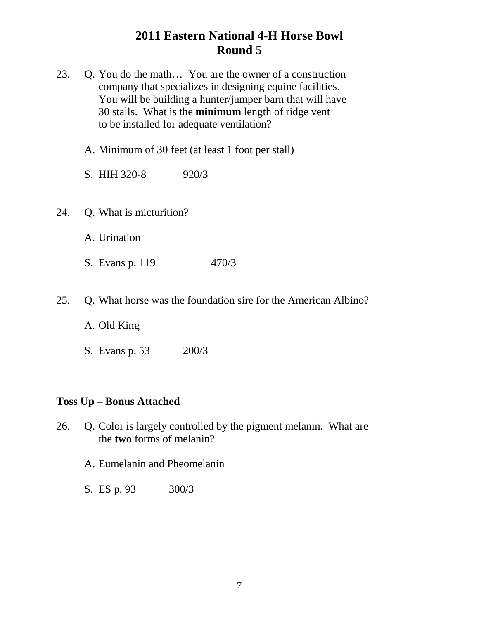| 23. |                                 | Q. You do the math You are the owner of a construction<br>company that specializes in designing equine facilities.<br>You will be building a hunter/jumper barn that will have<br>30 stalls. What is the minimum length of ridge vent<br>to be installed for adequate ventilation? |
|-----|---------------------------------|------------------------------------------------------------------------------------------------------------------------------------------------------------------------------------------------------------------------------------------------------------------------------------|
|     |                                 | A. Minimum of 30 feet (at least 1 foot per stall)                                                                                                                                                                                                                                  |
|     | S. HIH 320-8                    | 920/3                                                                                                                                                                                                                                                                              |
| 24. | Q. What is micturition?         |                                                                                                                                                                                                                                                                                    |
|     | A. Urination                    |                                                                                                                                                                                                                                                                                    |
|     | S. Evans p. 119                 | 470/3                                                                                                                                                                                                                                                                              |
| 25. |                                 | Q. What horse was the foundation sire for the American Albino?                                                                                                                                                                                                                     |
|     | A. Old King                     |                                                                                                                                                                                                                                                                                    |
|     | S. Evans p. 53                  | 200/3                                                                                                                                                                                                                                                                              |
|     | <b>Toss Up - Bonus Attached</b> |                                                                                                                                                                                                                                                                                    |

- 26. Q. Color is largely controlled by the pigment melanin. What are the **two** forms of melanin?
	- A. Eumelanin and Pheomelanin
	- S. ES p. 93 300/3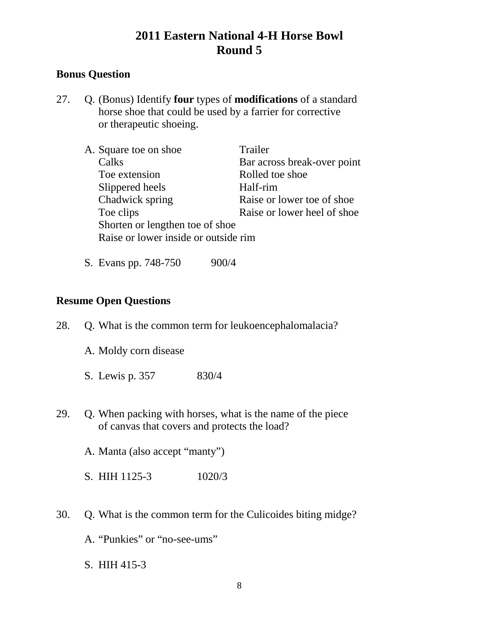## **Bonus Question**

27. Q. (Bonus) Identify **four** types of **modifications** of a standard horse shoe that could be used by a farrier for corrective or therapeutic shoeing.

| A. Square toe on shoe                | Trailer                      |
|--------------------------------------|------------------------------|
| Calks                                | Bar across break-over point  |
| Toe extension                        | Rolled toe shoe              |
| Slippered heels                      | Half-rim                     |
| Chadwick spring                      | Raise or lower toe of shoe.  |
| Toe clips                            | Raise or lower heel of shoe. |
| Shorten or lengthen toe of shoe      |                              |
| Raise or lower inside or outside rim |                              |
|                                      |                              |

S. Evans pp. 748-750 900/4

### **Resume Open Questions**

- 28. Q. What is the common term for leukoencephalomalacia?
	- A. Moldy corn disease
	- S. Lewis p. 357 830/4
- 29. Q. When packing with horses, what is the name of the piece of canvas that covers and protects the load?
	- A. Manta (also accept "manty")
	- S. HIH 1125-3 1020/3
- 30. Q. What is the common term for the Culicoides biting midge?
	- A. "Punkies" or "no-see-ums"
	- S. HIH 415-3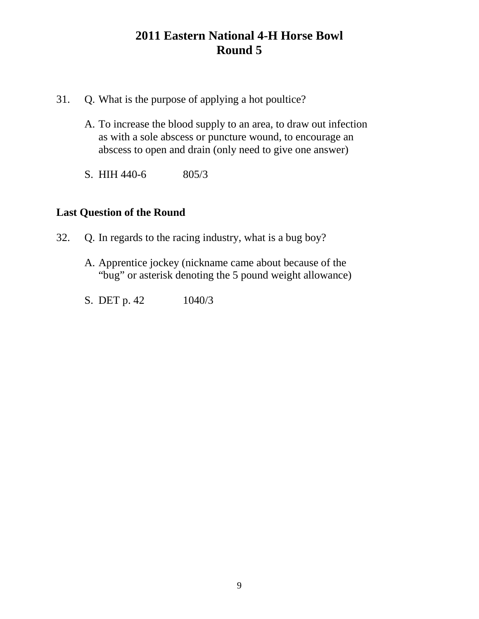- 31. Q. What is the purpose of applying a hot poultice?
	- A. To increase the blood supply to an area, to draw out infection as with a sole abscess or puncture wound, to encourage an abscess to open and drain (only need to give one answer)
	- S. HIH 440-6 805/3

## **Last Question of the Round**

- 32. Q. In regards to the racing industry, what is a bug boy?
	- A. Apprentice jockey (nickname came about because of the "bug" or asterisk denoting the 5 pound weight allowance)
	- S. DET p. 42 1040/3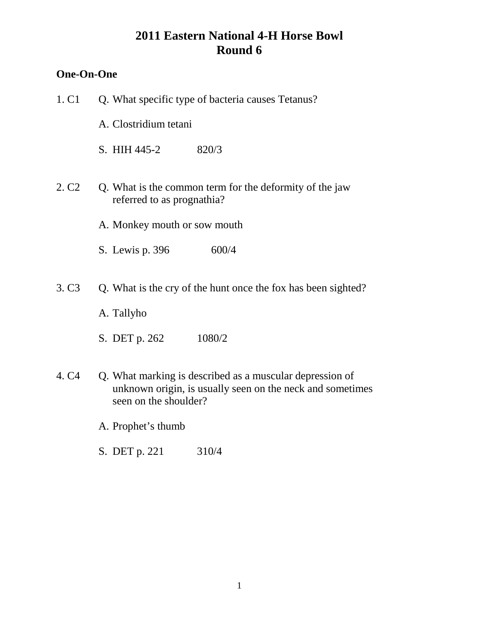## **One-On-One**

| 1. C1             | Q. What specific type of bacteria causes Tetanus?                                                                                              |
|-------------------|------------------------------------------------------------------------------------------------------------------------------------------------|
|                   | A. Clostridium tetani                                                                                                                          |
|                   | S. HIH 445-2<br>820/3                                                                                                                          |
| 2. C <sub>2</sub> | Q. What is the common term for the deformity of the jaw<br>referred to as prognathia?                                                          |
|                   | A. Monkey mouth or sow mouth                                                                                                                   |
|                   | 600/4<br>S. Lewis p. 396                                                                                                                       |
| 3. C <sub>3</sub> | Q. What is the cry of the hunt once the fox has been sighted?<br>A. Tallyho                                                                    |
|                   | S. DET p. 262<br>1080/2                                                                                                                        |
| 4. C <sub>4</sub> | Q. What marking is described as a muscular depression of<br>unknown origin, is usually seen on the neck and sometimes<br>seen on the shoulder? |
|                   | A. Prophet's thumb                                                                                                                             |
|                   | S. DET p. 221<br>310/4                                                                                                                         |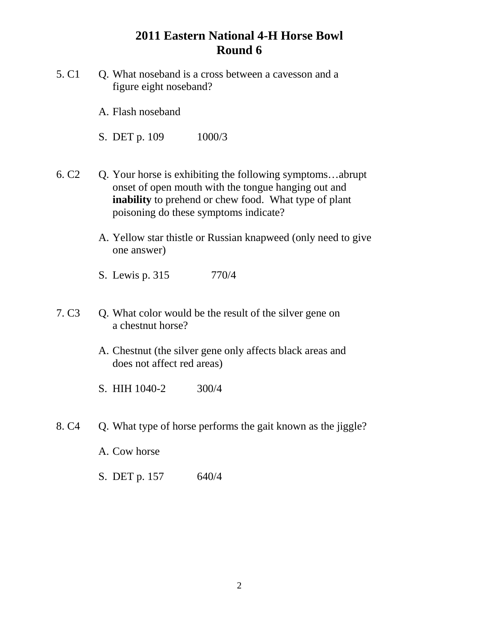- 5. C1 C. What noseband is a cross between a cavesson and a figure eight noseband?
	- A. Flash noseband

S. DET p. 109 1000/3

- 6. C2 Q. Your horse is exhibiting the following symptoms…abrupt onset of open mouth with the tongue hanging out and **inability** to prehend or chew food. What type of plant poisoning do these symptoms indicate?
	- A. Yellow star thistle or Russian knapweed (only need to give one answer)
	- S. Lewis p. 315 770/4
- 7. C3 Q. What color would be the result of the silver gene on a chestnut horse?
	- A. Chestnut (the silver gene only affects black areas and does not affect red areas)
	- S. HIH 1040-2 300/4
- 8. C4 O. What type of horse performs the gait known as the jiggle?
	- A. Cow horse
	- S. DET p. 157 640/4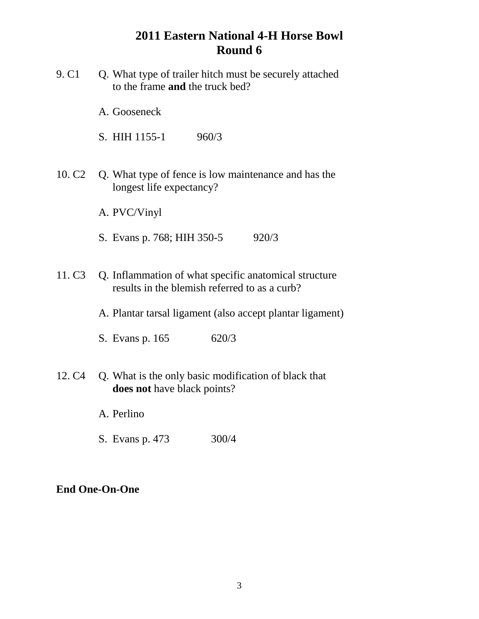- 9. C1 Q. What type of trailer hitch must be securely attached to the frame **and** the truck bed?
	- A. Gooseneck

S. HIH 1155-1 960/3

- 10. C2 Q. What type of fence is low maintenance and has the longest life expectancy?
	- A. PVC/Vinyl
	- S. Evans p. 768; HIH 350-5 920/3
- 11. C3 Q. Inflammation of what specific anatomical structure results in the blemish referred to as a curb?
	- A. Plantar tarsal ligament (also accept plantar ligament)
	- S. Evans p. 165 620/3
- 12. C4 Q. What is the only basic modification of black that **does not** have black points?
	- A. Perlino
	- S. Evans p. 473 300/4

#### **End One-On-One**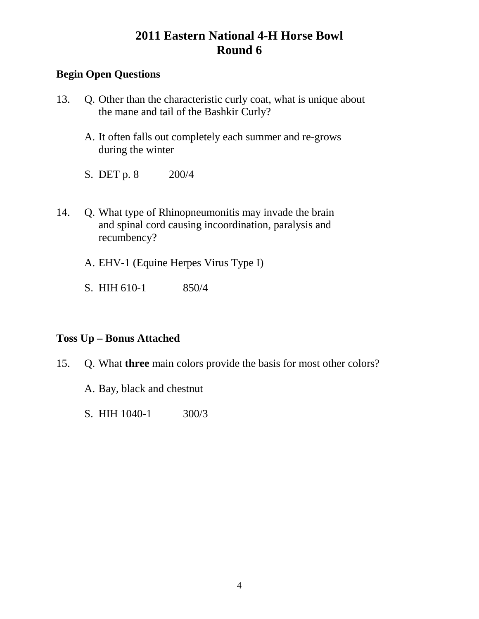## **Begin Open Questions**

- 13. Q. Other than the characteristic curly coat, what is unique about the mane and tail of the Bashkir Curly?
	- A. It often falls out completely each summer and re-grows during the winter
	- S. DET p. 8 200/4
- 14. Q. What type of Rhinopneumonitis may invade the brain and spinal cord causing incoordination, paralysis and recumbency?
	- A. EHV-1 (Equine Herpes Virus Type I)
	- S. HIH 610-1 850/4

### **Toss Up – Bonus Attached**

- 15. Q. What **three** main colors provide the basis for most other colors?
	- A. Bay, black and chestnut
	- S. HIH 1040-1 300/3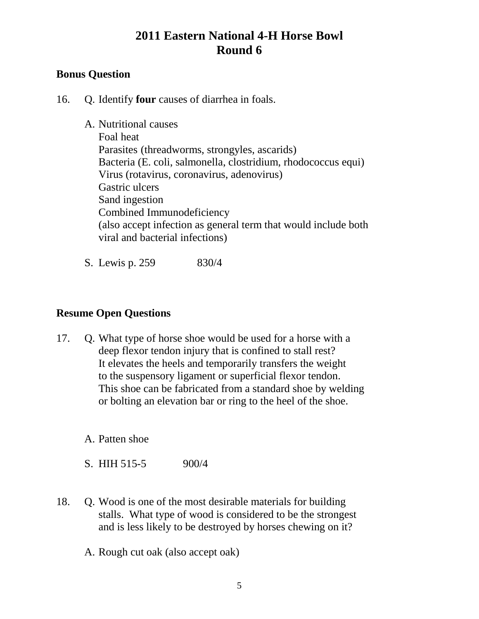## **Bonus Question**

16. Q. Identify **four** causes of diarrhea in foals.

A. Nutritional causes Foal heat Parasites (threadworms, strongyles, ascarids) Bacteria (E. coli, salmonella, clostridium, rhodococcus equi) Virus (rotavirus, coronavirus, adenovirus) Gastric ulcers Sand ingestion Combined Immunodeficiency (also accept infection as general term that would include both viral and bacterial infections)

S. Lewis p. 259 830/4

### **Resume Open Questions**

17. Q. What type of horse shoe would be used for a horse with a deep flexor tendon injury that is confined to stall rest? It elevates the heels and temporarily transfers the weight to the suspensory ligament or superficial flexor tendon. This shoe can be fabricated from a standard shoe by welding or bolting an elevation bar or ring to the heel of the shoe.

A. Patten shoe

S. HIH 515-5 900/4

18. Q. Wood is one of the most desirable materials for building stalls. What type of wood is considered to be the strongest and is less likely to be destroyed by horses chewing on it?

A. Rough cut oak (also accept oak)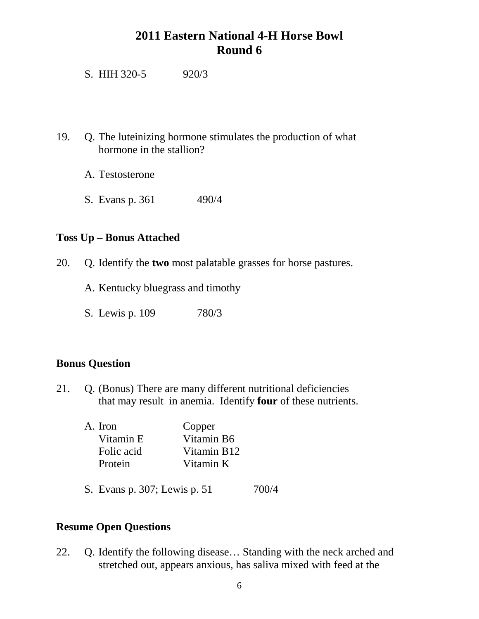S. HIH 320-5 920/3

- 19. Q. The luteinizing hormone stimulates the production of what hormone in the stallion?
	- A. Testosterone
	- S. Evans p. 361 490/4

### **Toss Up – Bonus Attached**

20. Q. Identify the **two** most palatable grasses for horse pastures.

A. Kentucky bluegrass and timothy

S. Lewis p. 109 780/3

### **Bonus Question**

21. Q. (Bonus) There are many different nutritional deficiencies that may result in anemia. Identify **four** of these nutrients.

| A. Iron    | Copper      |
|------------|-------------|
| Vitamin E  | Vitamin B6  |
| Folic acid | Vitamin B12 |
| Protein    | Vitamin K   |
|            |             |

S. Evans p. 307; Lewis p. 51 700/4

## **Resume Open Questions**

22. Q. Identify the following disease… Standing with the neck arched and stretched out, appears anxious, has saliva mixed with feed at the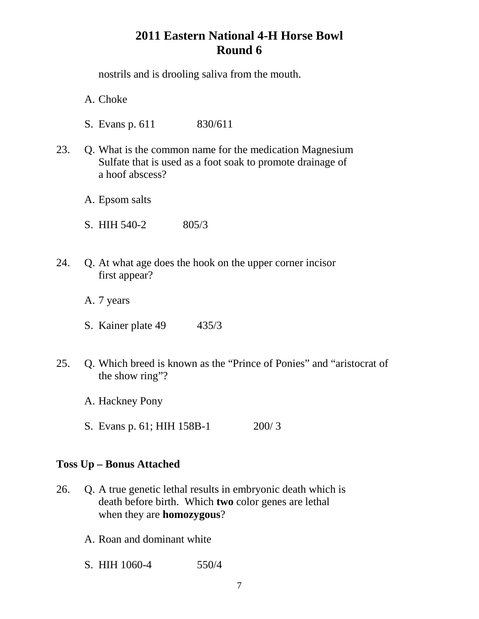nostrils and is drooling saliva from the mouth.

A. Choke

- S. Evans p. 611 830/611
- 23. Q. What is the common name for the medication Magnesium Sulfate that is used as a foot soak to promote drainage of a hoof abscess?
	- A. Epsom salts
	- S. HIH 540-2 805/3
- 24. Q. At what age does the hook on the upper corner incisor first appear?
	- A. 7 years
	- S. Kainer plate 49 435/3
- 25. Q. Which breed is known as the "Prince of Ponies" and "aristocrat of the show ring"?
	- A. Hackney Pony
	- S. Evans p. 61; HIH 158B-1 200/ 3

### **Toss Up – Bonus Attached**

- 26. Q. A true genetic lethal results in embryonic death which is death before birth. Which **two** color genes are lethal when they are **homozygous**?
	- A. Roan and dominant white
	- S. HIH 1060-4 550/4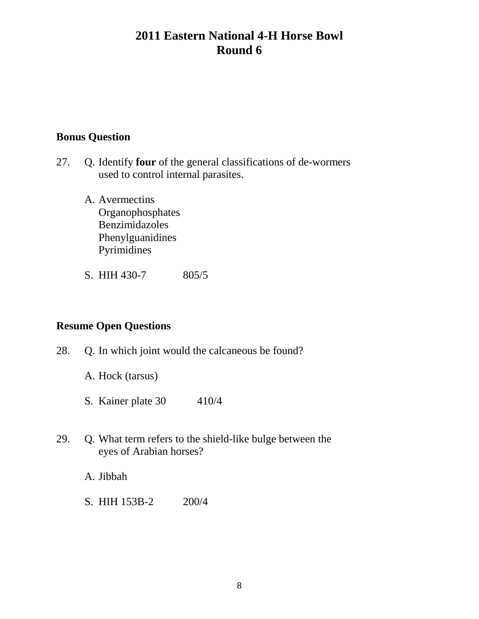### **Bonus Question**

- 27. Q. Identify **four** of the general classifications of de-wormers used to control internal parasites.
	- A. Avermectins **Organophosphates** Benzimidazoles Phenylguanidines Pyrimidines
	- S. HIH 430-7 805/5

## **Resume Open Questions**

- 28. Q. In which joint would the calcaneous be found?
	- A. Hock (tarsus)
	- S. Kainer plate 30 410/4
- 29. Q. What term refers to the shield-like bulge between the eyes of Arabian horses?

A. Jibbah

S. HIH 153B-2 200/4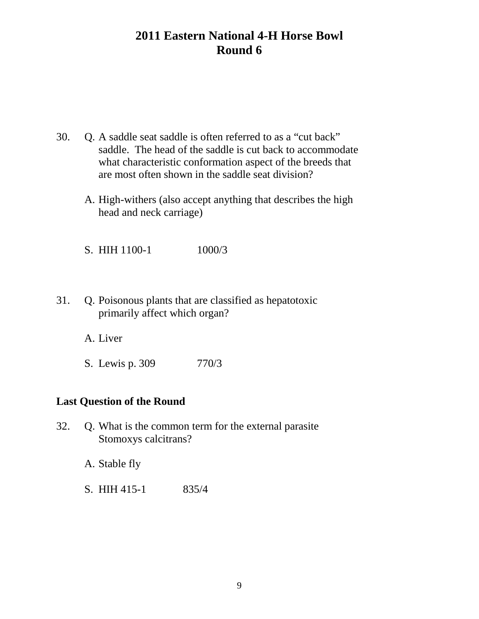- 30. Q. A saddle seat saddle is often referred to as a "cut back" saddle. The head of the saddle is cut back to accommodate what characteristic conformation aspect of the breeds that are most often shown in the saddle seat division?
	- A. High-withers (also accept anything that describes the high head and neck carriage)

S. HIH 1100-1 1000/3

31. Q. Poisonous plants that are classified as hepatotoxic primarily affect which organ?

A. Liver

S. Lewis p. 309 770/3

### **Last Question of the Round**

32. Q. What is the common term for the external parasite Stomoxys calcitrans?

A. Stable fly

S. HIH 415-1 835/4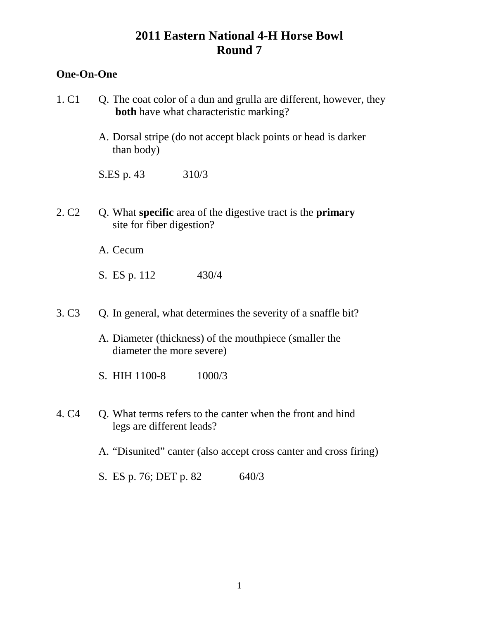### **One-On-One**

- 1.  $C1$  Q. The coat color of a dun and grulla are different, however, they **both** have what characteristic marking?
	- A. Dorsal stripe (do not accept black points or head is darker than body)
	- S.ES p. 43 310/3
- 2. C2 Q. What **specific** area of the digestive tract is the **primary**  site for fiber digestion?
	- A. Cecum
	- S. ES p. 112 430/4
- 3. C3 Q. In general, what determines the severity of a snaffle bit?
	- A. Diameter (thickness) of the mouthpiece (smaller the diameter the more severe)
	- S. HIH 1100-8 1000/3
- 4. C4 Q. What terms refers to the canter when the front and hind legs are different leads?
	- A. "Disunited" canter (also accept cross canter and cross firing)
	- S. ES p. 76; DET p. 82 640/3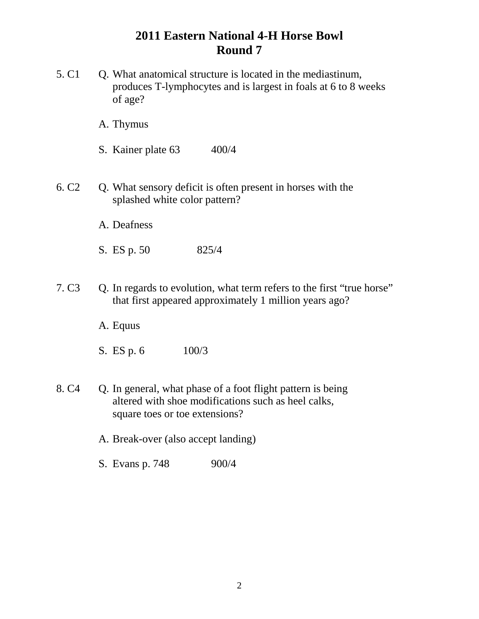- 5. C1 Q. What anatomical structure is located in the mediastinum, produces T-lymphocytes and is largest in foals at 6 to 8 weeks of age?
	- A. Thymus
	- S. Kainer plate 63 400/4
- 6. C2 Q. What sensory deficit is often present in horses with the splashed white color pattern?
	- A. Deafness
	- S. ES p. 50 825/4
- 7. C3 Q. In regards to evolution, what term refers to the first "true horse" that first appeared approximately 1 million years ago?
	- A. Equus
	- S. ES p. 6 100/3
- 8. C4 Q. In general, what phase of a foot flight pattern is being altered with shoe modifications such as heel calks, square toes or toe extensions?
	- A. Break-over (also accept landing)
	- S. Evans p. 748 900/4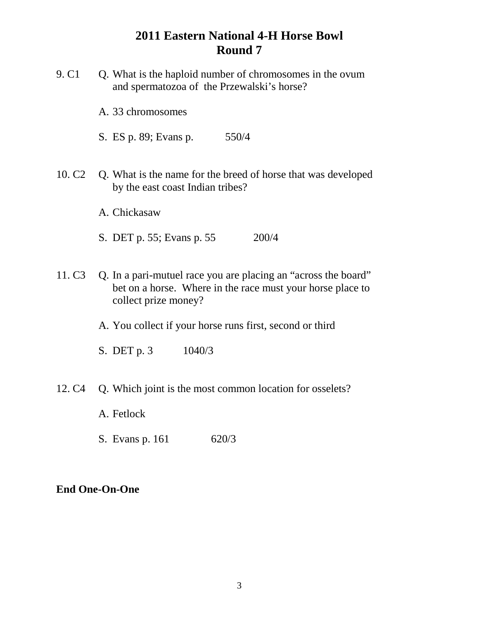- 9. C1 Q. What is the haploid number of chromosomes in the ovum and spermatozoa of the Przewalski's horse? A. 33 chromosomes S. ES p. 89; Evans p. 550/4 10. C2 Q. What is the name for the breed of horse that was developed by the east coast Indian tribes? A. Chickasaw S. DET p. 55; Evans p. 55 200/4 11. C3 Q. In a pari-mutuel race you are placing an "across the board" bet on a horse. Where in the race must your horse place to collect prize money? A. You collect if your horse runs first, second or third S. DET p. 3 1040/3 12. C4 Q. Which joint is the most common location for osselets? A. Fetlock
	- S. Evans p. 161 620/3

## **End One-On-One**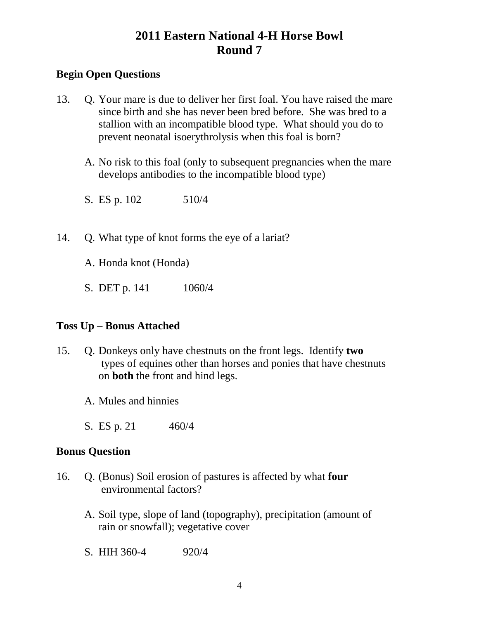### **Begin Open Questions**

- 13. Q. Your mare is due to deliver her first foal. You have raised the mare since birth and she has never been bred before. She was bred to a stallion with an incompatible blood type. What should you do to prevent neonatal isoerythrolysis when this foal is born?
	- A. No risk to this foal (only to subsequent pregnancies when the mare develops antibodies to the incompatible blood type)
	- S. ES p. 102 510/4
- 14. Q. What type of knot forms the eye of a lariat?
	- A. Honda knot (Honda)
	- S. DET p. 141 1060/4

## **Toss Up – Bonus Attached**

- 15. Q. Donkeys only have chestnuts on the front legs. Identify **two** types of equines other than horses and ponies that have chestnuts on **both** the front and hind legs.
	- A. Mules and hinnies
	- S. ES p. 21 460/4

### **Bonus Question**

- 16. Q. (Bonus) Soil erosion of pastures is affected by what **four** environmental factors?
	- A. Soil type, slope of land (topography), precipitation (amount of rain or snowfall); vegetative cover
	- S. HIH 360-4 920/4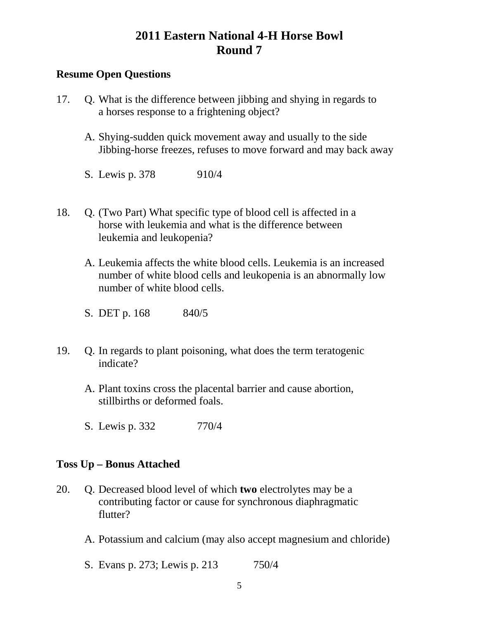### **Resume Open Questions**

- 17. Q. What is the difference between jibbing and shying in regards to a horses response to a frightening object?
	- A. Shying-sudden quick movement away and usually to the side Jibbing-horse freezes, refuses to move forward and may back away
	- S. Lewis p. 378 910/4
- 18. Q. (Two Part) What specific type of blood cell is affected in a horse with leukemia and what is the difference between leukemia and leukopenia?
	- A. Leukemia affects the white blood cells. Leukemia is an increased number of white blood cells and leukopenia is an abnormally low number of white blood cells.
	- S. DET p. 168 840/5
- 19. Q. In regards to plant poisoning, what does the term teratogenic indicate?
	- A. Plant toxins cross the placental barrier and cause abortion, stillbirths or deformed foals.
	- S. Lewis p. 332 770/4

#### **Toss Up – Bonus Attached**

- 20. Q. Decreased blood level of which **two** electrolytes may be a contributing factor or cause for synchronous diaphragmatic flutter?
	- A. Potassium and calcium (may also accept magnesium and chloride)
	- S. Evans p. 273; Lewis p. 213 750/4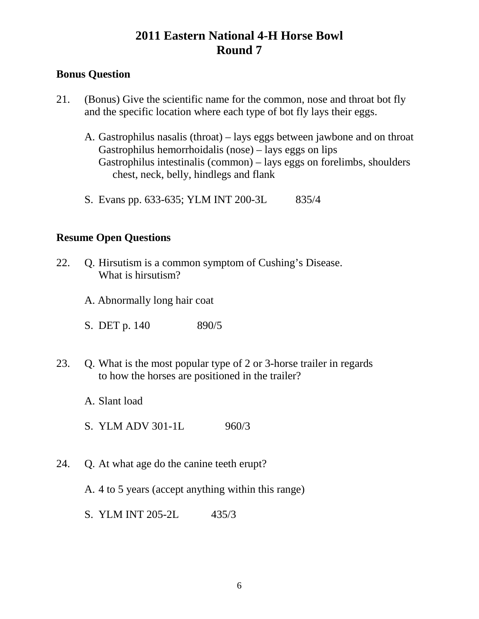## **Bonus Question**

- 21. (Bonus) Give the scientific name for the common, nose and throat bot fly and the specific location where each type of bot fly lays their eggs.
	- A. Gastrophilus nasalis (throat) lays eggs between jawbone and on throat Gastrophilus hemorrhoidalis (nose) – lays eggs on lips Gastrophilus intestinalis (common) – lays eggs on forelimbs, shoulders chest, neck, belly, hindlegs and flank
	- S. Evans pp. 633-635; YLM INT 200-3L 835/4

### **Resume Open Questions**

- 22. Q. Hirsutism is a common symptom of Cushing's Disease. What is hirsutism?
	- A. Abnormally long hair coat
	- S. DET p. 140 890/5
- 23. Q. What is the most popular type of 2 or 3-horse trailer in regards to how the horses are positioned in the trailer?
	- A. Slant load
	- S. YLM ADV 301-1L 960/3
- 24. Q. At what age do the canine teeth erupt?
	- A. 4 to 5 years (accept anything within this range)
	- S. YLM INT 205-2L 435/3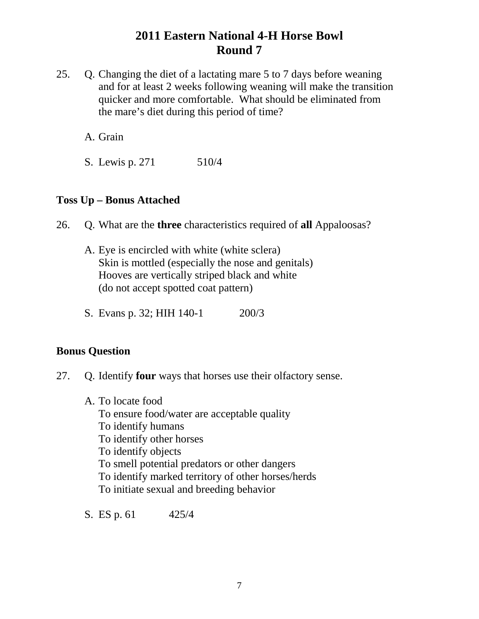25. Q. Changing the diet of a lactating mare 5 to 7 days before weaning and for at least 2 weeks following weaning will make the transition quicker and more comfortable. What should be eliminated from the mare's diet during this period of time?

A. Grain

S. Lewis p. 271 510/4

### **Toss Up – Bonus Attached**

26. Q. What are the **three** characteristics required of **all** Appaloosas?

- A. Eye is encircled with white (white sclera) Skin is mottled (especially the nose and genitals) Hooves are vertically striped black and white (do not accept spotted coat pattern)
- S. Evans p. 32; HIH 140-1 200/3

### **Bonus Question**

- 27. Q. Identify **four** ways that horses use their olfactory sense.
	- A. To locate food To ensure food/water are acceptable quality To identify humans To identify other horses To identify objects To smell potential predators or other dangers To identify marked territory of other horses/herds To initiate sexual and breeding behavior

S. ES p. 61 425/4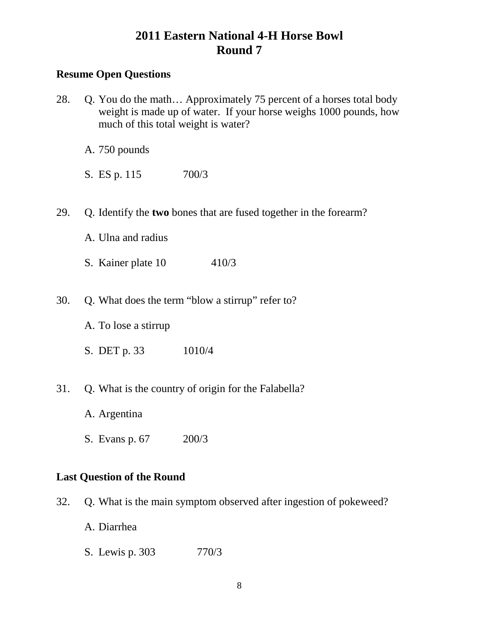### **Resume Open Questions**

- 28. Q. You do the math… Approximately 75 percent of a horses total body weight is made up of water. If your horse weighs 1000 pounds, how much of this total weight is water?
	- A. 750 pounds
	- S. ES p. 115 700/3
- 29. Q. Identify the **two** bones that are fused together in the forearm?
	- A. Ulna and radius
	- S. Kainer plate 10 410/3
- 30. Q. What does the term "blow a stirrup" refer to?
	- A. To lose a stirrup
	- S. DET p. 33 1010/4
- 31. Q. What is the country of origin for the Falabella?
	- A. Argentina
	- S. Evans p. 67 200/3

### **Last Question of the Round**

- 32. Q. What is the main symptom observed after ingestion of pokeweed?
	- A. Diarrhea
	- S. Lewis p. 303 770/3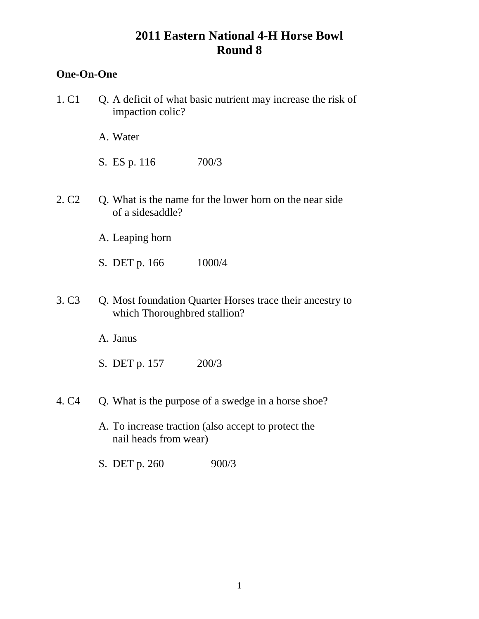### **One-On-One**

1. C1 Q. A deficit of what basic nutrient may increase the risk of impaction colic?

A. Water

S. ES p. 116 700/3

- 2. C2 Q. What is the name for the lower horn on the near side of a sidesaddle?
	- A. Leaping horn
	- S. DET p. 166 1000/4
- 3. C3 Q. Most foundation Quarter Horses trace their ancestry to which Thoroughbred stallion?

A. Janus

- S. DET p. 157 200/3
- 4. C4 Q. What is the purpose of a swedge in a horse shoe?
	- A. To increase traction (also accept to protect the nail heads from wear)
	- S. DET p. 260 900/3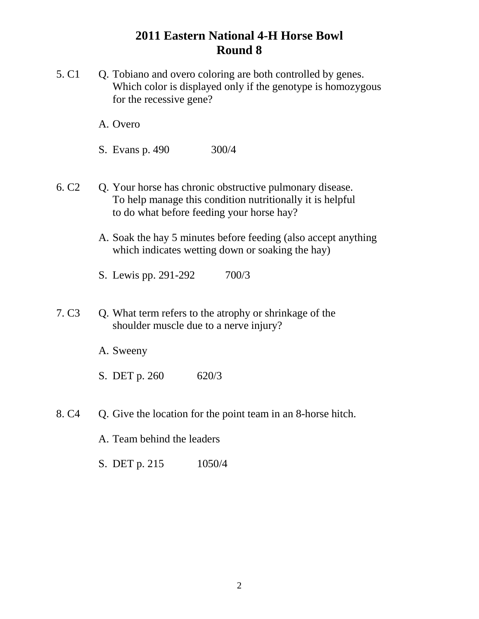- 5. C1 Q. Tobiano and overo coloring are both controlled by genes. Which color is displayed only if the genotype is homozygous for the recessive gene?
	- A. Overo
	- S. Evans p. 490 300/4
- 6. C2 Q. Your horse has chronic obstructive pulmonary disease. To help manage this condition nutritionally it is helpful to do what before feeding your horse hay?
	- A. Soak the hay 5 minutes before feeding (also accept anything which indicates wetting down or soaking the hay)
	- S. Lewis pp. 291-292 700/3
- 7. C3 Q. What term refers to the atrophy or shrinkage of the shoulder muscle due to a nerve injury?
	- A. Sweeny
	- S. DET p. 260 620/3
- 8. C4 Q. Give the location for the point team in an 8-horse hitch.
	- A. Team behind the leaders
	- S. DET p. 215 1050/4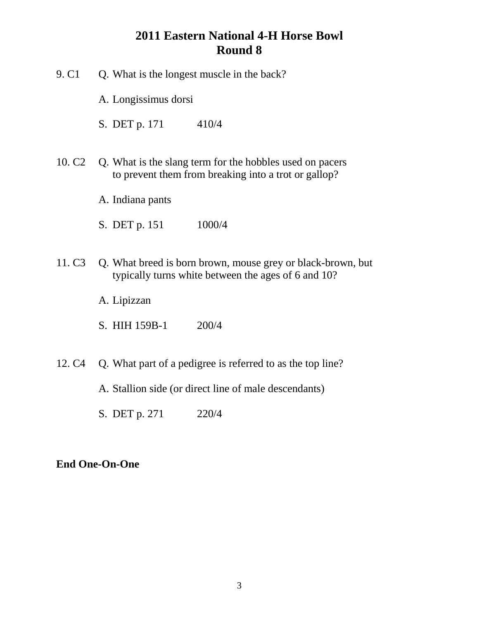- 9. C1 Q. What is the longest muscle in the back?
	- A. Longissimus dorsi
	- S. DET p. 171 410/4
- 10. C2 Q. What is the slang term for the hobbles used on pacers to prevent them from breaking into a trot or gallop?
	- A. Indiana pants
	- S. DET p. 151 1000/4
- 11. C3 Q. What breed is born brown, mouse grey or black-brown, but typically turns white between the ages of 6 and 10?
	- A. Lipizzan
	- S. HIH 159B-1 200/4
- 12. C4 Q. What part of a pedigree is referred to as the top line?
	- A. Stallion side (or direct line of male descendants)
	- S. DET p. 271 220/4

### **End One-On-One**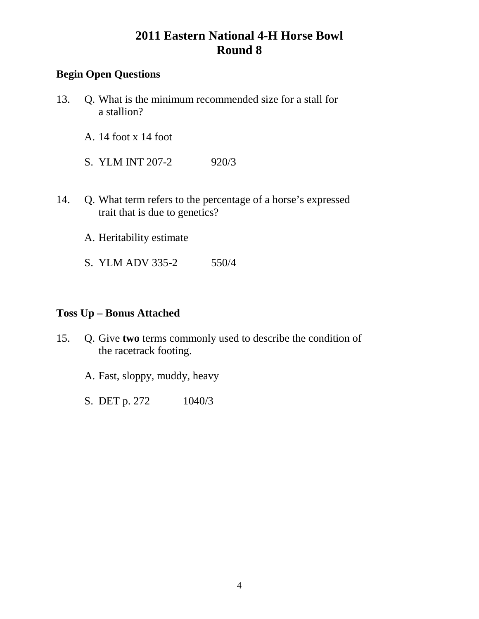## **Begin Open Questions**

- 13. Q. What is the minimum recommended size for a stall for a stallion?
	- A. 14 foot x 14 foot
	- S. YLM INT 207-2 920/3
- 14. Q. What term refers to the percentage of a horse's expressed trait that is due to genetics?
	- A. Heritability estimate
	- S. YLM ADV 335-2 550/4

### **Toss Up – Bonus Attached**

- 15. Q. Give **two** terms commonly used to describe the condition of the racetrack footing.
	- A. Fast, sloppy, muddy, heavy
	- S. DET p. 272 1040/3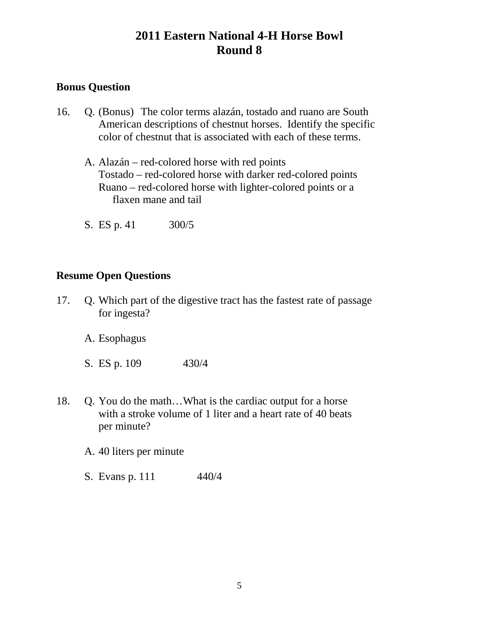## **Bonus Question**

- 16. Q. (Bonus) The color terms alazán, tostado and ruano are South American descriptions of chestnut horses. Identify the specific color of chestnut that is associated with each of these terms.
	- A. Alazán red-colored horse with red points Tostado – red-colored horse with darker red-colored points Ruano – red-colored horse with lighter-colored points or a flaxen mane and tail
	- S. ES p. 41 300/5

### **Resume Open Questions**

- 17. Q. Which part of the digestive tract has the fastest rate of passage for ingesta?
	- A. Esophagus
	- S. ES p. 109 430/4
- 18. Q. You do the math…What is the cardiac output for a horse with a stroke volume of 1 liter and a heart rate of 40 beats per minute?
	- A. 40 liters per minute
	- S. Evans p. 111 440/4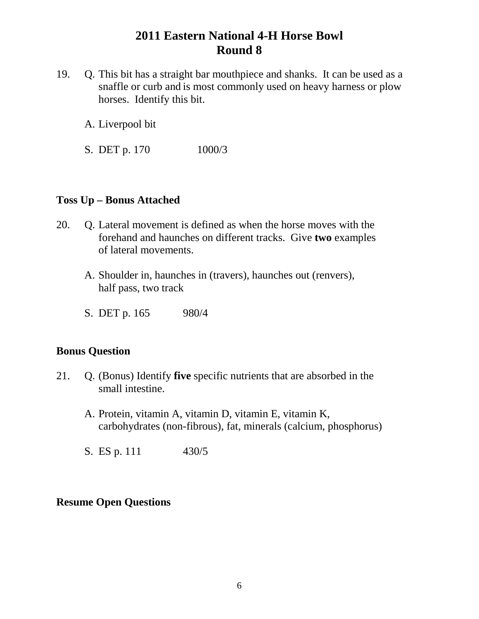- 19. Q. This bit has a straight bar mouthpiece and shanks. It can be used as a snaffle or curb and is most commonly used on heavy harness or plow horses. Identify this bit.
	- A. Liverpool bit
	- S. DET p. 170 1000/3

#### **Toss Up – Bonus Attached**

- 20. Q. Lateral movement is defined as when the horse moves with the forehand and haunches on different tracks. Give **two** examples of lateral movements.
	- A. Shoulder in, haunches in (travers), haunches out (renvers), half pass, two track
	- S. DET p. 165 980/4

### **Bonus Question**

- 21. Q. (Bonus) Identify **five** specific nutrients that are absorbed in the small intestine.
	- A. Protein, vitamin A, vitamin D, vitamin E, vitamin K, carbohydrates (non-fibrous), fat, minerals (calcium, phosphorus)
	- S. ES p. 111 430/5

### **Resume Open Questions**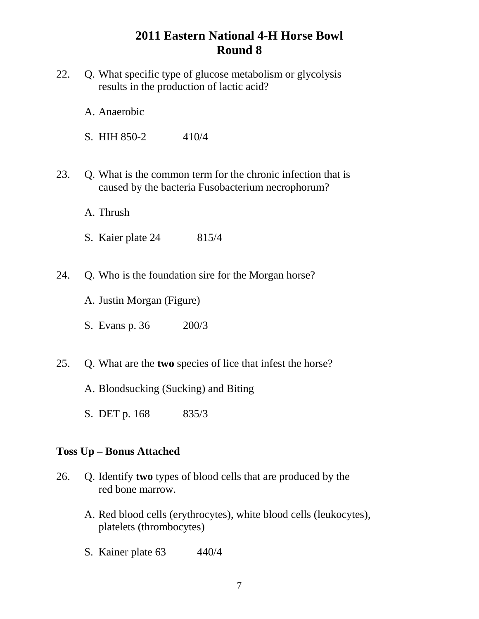- 22. Q. What specific type of glucose metabolism or glycolysis results in the production of lactic acid?
	- A. Anaerobic
	- S. HIH  $850-2$  410/4
- 23. Q. What is the common term for the chronic infection that is caused by the bacteria Fusobacterium necrophorum?
	- A. Thrush
	- S. Kaier plate 24 815/4
- 24. Q. Who is the foundation sire for the Morgan horse?
	- A. Justin Morgan (Figure)
	- S. Evans p. 36 200/3
- 25. Q. What are the **two** species of lice that infest the horse?
	- A. Bloodsucking (Sucking) and Biting
	- S. DET p. 168 835/3

#### **Toss Up – Bonus Attached**

- 26. Q. Identify **two** types of blood cells that are produced by the red bone marrow.
	- A. Red blood cells (erythrocytes), white blood cells (leukocytes), platelets (thrombocytes)
	- S. Kainer plate 63 440/4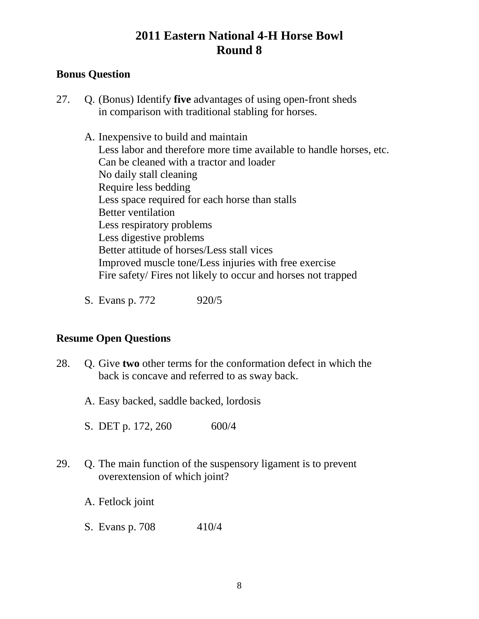## **Bonus Question**

27. Q. (Bonus) Identify **five** advantages of using open-front sheds in comparison with traditional stabling for horses.

A. Inexpensive to build and maintain Less labor and therefore more time available to handle horses, etc. Can be cleaned with a tractor and loader No daily stall cleaning Require less bedding Less space required for each horse than stalls Better ventilation Less respiratory problems Less digestive problems Better attitude of horses/Less stall vices Improved muscle tone/Less injuries with free exercise Fire safety/ Fires not likely to occur and horses not trapped

S. Evans p. 772 920/5

### **Resume Open Questions**

- 28. Q. Give **two** other terms for the conformation defect in which the back is concave and referred to as sway back.
	- A. Easy backed, saddle backed, lordosis
	- S. DET p. 172, 260 600/4
- 29. Q. The main function of the suspensory ligament is to prevent overextension of which joint?
	- A. Fetlock joint
	- S. Evans p. 708 410/4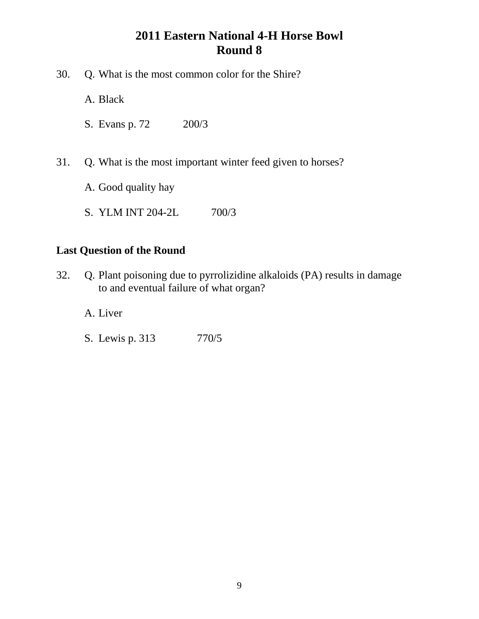- 30. Q. What is the most common color for the Shire?
	- A. Black
	- S. Evans p. 72 200/3
- 31. Q. What is the most important winter feed given to horses?
	- A. Good quality hay
	- S. YLM INT 204-2L 700/3

### **Last Question of the Round**

- 32. Q. Plant poisoning due to pyrrolizidine alkaloids (PA) results in damage to and eventual failure of what organ?
	- A. Liver
	- S. Lewis p. 313 770/5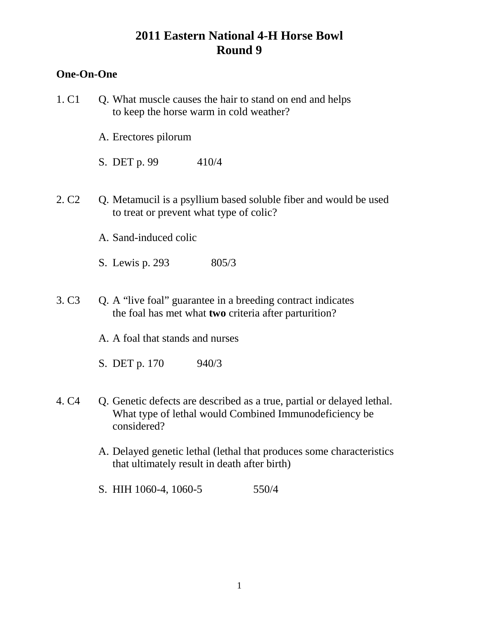## **One-On-One**

| 1. C1             | Q. What muscle causes the hair to stand on end and helps<br>to keep the horse warm in cold weather?                                             |
|-------------------|-------------------------------------------------------------------------------------------------------------------------------------------------|
|                   | A. Erectores pilorum                                                                                                                            |
|                   | 410/4<br>S. DET p. 99                                                                                                                           |
| 2. C <sub>2</sub> | Q. Metamucil is a psyllium based soluble fiber and would be used<br>to treat or prevent what type of colic?                                     |
|                   | A. Sand-induced colic                                                                                                                           |
|                   | S. Lewis p. 293<br>805/3                                                                                                                        |
| 3. C <sub>3</sub> | Q. A "live foal" guarantee in a breeding contract indicates<br>the foal has met what two criteria after parturition?                            |
|                   | A. A foal that stands and nurses                                                                                                                |
|                   | S. DET p. 170<br>940/3                                                                                                                          |
| 4. C <sub>4</sub> | Q. Genetic defects are described as a true, partial or delayed lethal.<br>What type of lethal would Combined Immunodeficiency be<br>considered? |
|                   | A. Delayed genetic lethal (lethal that produces some characteristics<br>that ultimately result in death after birth)                            |
|                   | S. HIH 1060-4, 1060-5<br>550/4                                                                                                                  |
|                   |                                                                                                                                                 |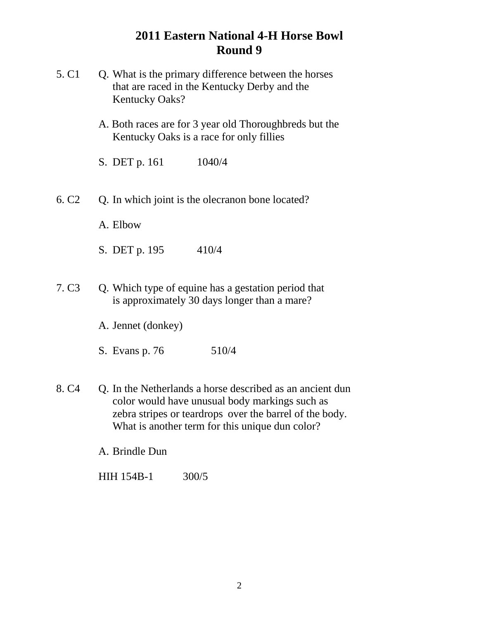| 5. C1             | Q. What is the primary difference between the horses<br>that are raced in the Kentucky Derby and the<br><b>Kentucky Oaks?</b>                                                                                             |
|-------------------|---------------------------------------------------------------------------------------------------------------------------------------------------------------------------------------------------------------------------|
|                   | A. Both races are for 3 year old Thoroughbreds but the<br>Kentucky Oaks is a race for only fillies                                                                                                                        |
|                   | S. DET p. 161<br>1040/4                                                                                                                                                                                                   |
| 6. C <sub>2</sub> | Q. In which joint is the olecranon bone located?                                                                                                                                                                          |
|                   | A. Elbow                                                                                                                                                                                                                  |
|                   | 410/4<br>S. DET p. 195                                                                                                                                                                                                    |
| 7. C <sub>3</sub> | Q. Which type of equine has a gestation period that<br>is approximately 30 days longer than a mare?                                                                                                                       |
|                   | A. Jennet (donkey)                                                                                                                                                                                                        |
|                   | 510/4<br>S. Evans p. 76                                                                                                                                                                                                   |
| 8. C <sub>4</sub> | Q. In the Netherlands a horse described as an ancient dun<br>color would have unusual body markings such as<br>zebra stripes or teardrops over the barrel of the body.<br>What is another term for this unique dun color? |
|                   | A. Brindle Dun                                                                                                                                                                                                            |
|                   | <b>HIH 154B-1</b><br>300/5                                                                                                                                                                                                |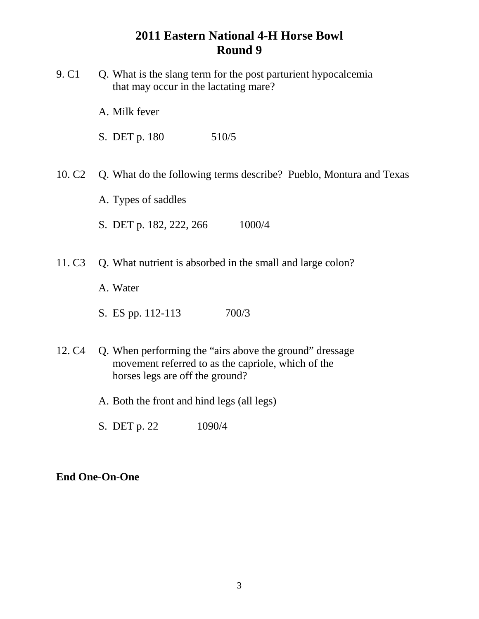- 9. C1 Q. What is the slang term for the post parturient hypocalcemia that may occur in the lactating mare?
	- A. Milk fever
	- S. DET p. 180 510/5
- 10. C2 Q. What do the following terms describe? Pueblo, Montura and Texas
	- A. Types of saddles
	- S. DET p. 182, 222, 266 1000/4
- 11. C3 Q. What nutrient is absorbed in the small and large colon?
	- A. Water
	- S. ES pp. 112-113 700/3
- 12. C4 Q. When performing the "airs above the ground" dressage movement referred to as the capriole, which of the horses legs are off the ground?
	- A. Both the front and hind legs (all legs)
	- S. DET p. 22 1090/4

#### **End One-On-One**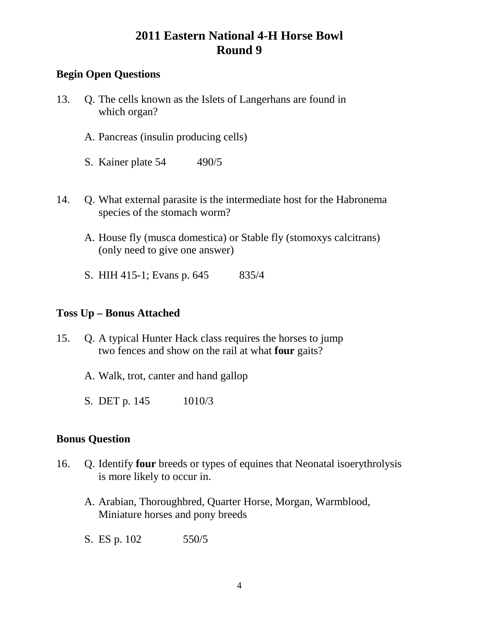## **Begin Open Questions**

- 13. Q. The cells known as the Islets of Langerhans are found in which organ?
	- A. Pancreas (insulin producing cells)
	- S. Kainer plate 54 490/5
- 14. Q. What external parasite is the intermediate host for the Habronema species of the stomach worm?
	- A. House fly (musca domestica) or Stable fly (stomoxys calcitrans) (only need to give one answer)
	- S. HIH 415-1; Evans p. 645 835/4

### **Toss Up – Bonus Attached**

- 15. Q. A typical Hunter Hack class requires the horses to jump two fences and show on the rail at what **four** gaits?
	- A. Walk, trot, canter and hand gallop
	- S. DET p. 145 1010/3

### **Bonus Question**

- 16. Q. Identify **four** breeds or types of equines that Neonatal isoerythrolysis is more likely to occur in.
	- A. Arabian, Thoroughbred, Quarter Horse, Morgan, Warmblood, Miniature horses and pony breeds
	- S. ES p. 102 550/5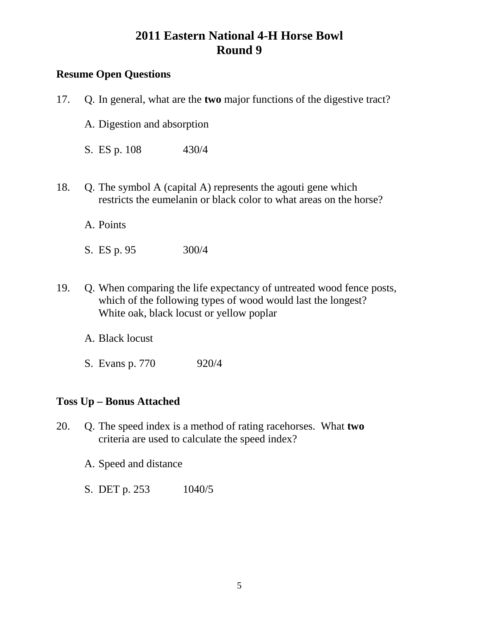### **Resume Open Questions**

| 17. | Q. In general, what are the <b>two</b> major functions of the digestive tract?                                                                                                   |
|-----|----------------------------------------------------------------------------------------------------------------------------------------------------------------------------------|
|     | A. Digestion and absorption                                                                                                                                                      |
|     | S. ES p. 108<br>430/4                                                                                                                                                            |
| 18. | Q. The symbol A (capital A) represents the agouti gene which<br>restricts the eumelanin or black color to what areas on the horse?                                               |
|     | A. Points                                                                                                                                                                        |
|     | 300/4<br>S. ES p. 95                                                                                                                                                             |
| 19. | Q. When comparing the life expectancy of untreated wood fence posts,<br>which of the following types of wood would last the longest?<br>White oak, black locust or yellow poplar |

- A. Black locust
- S. Evans p. 770 920/4

### **Toss Up – Bonus Attached**

- 20. Q. The speed index is a method of rating racehorses. What **two** criteria are used to calculate the speed index?
	- A. Speed and distance
	- S. DET p. 253 1040/5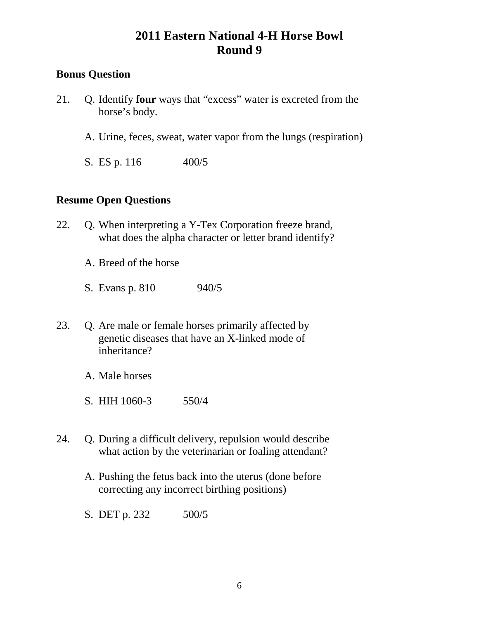### **Bonus Question**

- 21. Q. Identify **four** ways that "excess" water is excreted from the horse's body.
	- A. Urine, feces, sweat, water vapor from the lungs (respiration)
	- S. ES p. 116 400/5

### **Resume Open Questions**

- 22. Q. When interpreting a Y-Tex Corporation freeze brand, what does the alpha character or letter brand identify?
	- A. Breed of the horse
	- S. Evans p. 810 940/5
- 23. Q. Are male or female horses primarily affected by genetic diseases that have an X-linked mode of inheritance?
	- A. Male horses
	- S. HIH 1060-3 550/4
- 24. Q. During a difficult delivery, repulsion would describe what action by the veterinarian or foaling attendant?
	- A. Pushing the fetus back into the uterus (done before correcting any incorrect birthing positions)
	- S. DET p. 232 500/5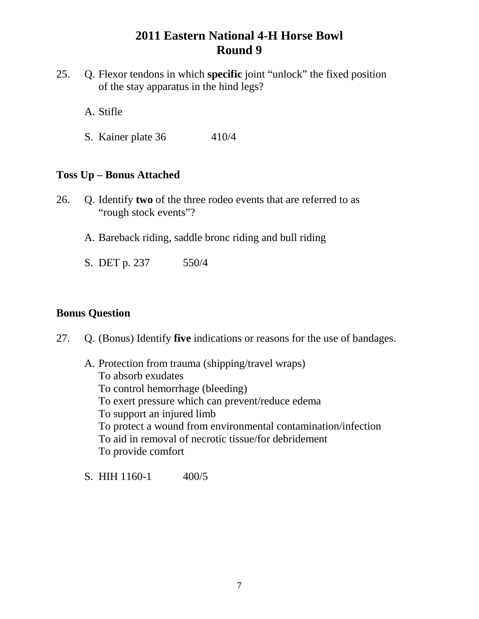- 25. Q. Flexor tendons in which **specific** joint "unlock" the fixed position of the stay apparatus in the hind legs?
	- A. Stifle
	- S. Kainer plate 36 410/4

#### **Toss Up – Bonus Attached**

- 26. Q. Identify **two** of the three rodeo events that are referred to as "rough stock events"?
	- A. Bareback riding, saddle bronc riding and bull riding
	- S. DET p. 237 550/4

#### **Bonus Question**

27. Q. (Bonus) Identify **five** indications or reasons for the use of bandages.

A. Protection from trauma (shipping/travel wraps) To absorb exudates To control hemorrhage (bleeding) To exert pressure which can prevent/reduce edema To support an injured limb To protect a wound from environmental contamination/infection To aid in removal of necrotic tissue/for debridement To provide comfort

S. HIH  $1160-1$  400/5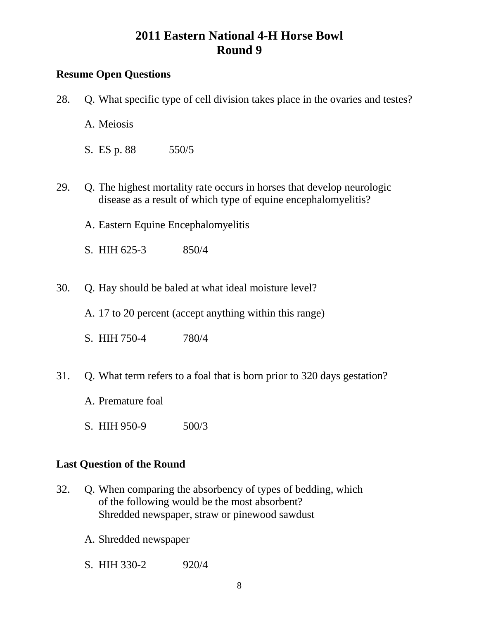# **Resume Open Questions**

| 28. | Q. What specific type of cell division takes place in the ovaries and testes?                                                            |
|-----|------------------------------------------------------------------------------------------------------------------------------------------|
|     | A. Meiosis                                                                                                                               |
|     | S. ES p. 88 550/5                                                                                                                        |
| 29. | Q. The highest mortality rate occurs in horses that develop neurologic<br>disease as a result of which type of equine encephalomyelitis? |
|     | A. Eastern Equine Encephalomyelitis                                                                                                      |
|     | S. HIH 625-3<br>850/4                                                                                                                    |
| 30. | Q. Hay should be baled at what ideal moisture level?                                                                                     |
|     | A. 17 to 20 percent (accept anything within this range)                                                                                  |
|     | S. HIH 750-4<br>780/4                                                                                                                    |
| 31. | Q. What term refers to a foal that is born prior to 320 days gestation?                                                                  |
|     | A. Premature foal                                                                                                                        |
|     | S. HIH 950-9<br>500/3                                                                                                                    |
|     | <b>Last Question of the Round</b>                                                                                                        |
| 32. | Q. When comparing the absorbency of types of bedding, which<br>of the following would be the most absorbent?                             |

- Shredded newspaper, straw or pinewood sawdust
- A. Shredded newspaper
- S. HIH 330-2 920/4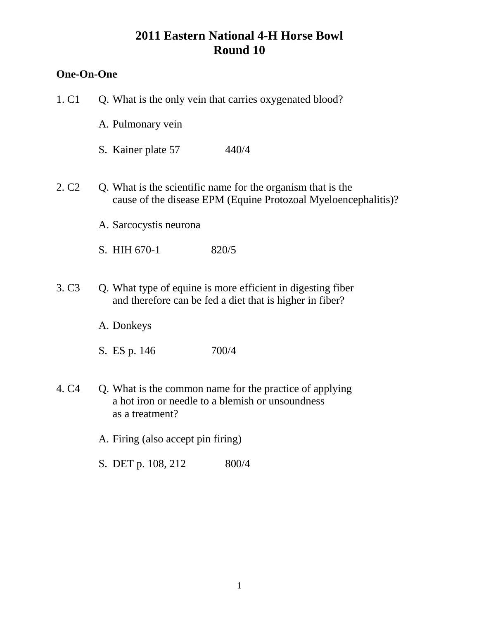## **One-On-One**

| 1. C <sub>1</sub> | Q. What is the only vein that carries oxygenated blood?                                                                        |
|-------------------|--------------------------------------------------------------------------------------------------------------------------------|
|                   | A. Pulmonary vein                                                                                                              |
|                   | 440/4<br>S. Kainer plate 57                                                                                                    |
| 2. C <sub>2</sub> | Q. What is the scientific name for the organism that is the<br>cause of the disease EPM (Equine Protozoal Myeloencephalitis)?  |
|                   | A. Sarcocystis neurona                                                                                                         |
|                   | S. HIH 670-1<br>820/5                                                                                                          |
| 3. C <sub>3</sub> | Q. What type of equine is more efficient in digesting fiber<br>and therefore can be fed a diet that is higher in fiber?        |
|                   | A. Donkeys                                                                                                                     |
|                   | 700/4<br>S. ES p. 146                                                                                                          |
| 4. C <sub>4</sub> | Q. What is the common name for the practice of applying<br>a hot iron or needle to a blemish or unsoundness<br>as a treatment? |
|                   | A. Firing (also accept pin firing)                                                                                             |
|                   | S. DET p. 108, 212<br>800/4                                                                                                    |
|                   |                                                                                                                                |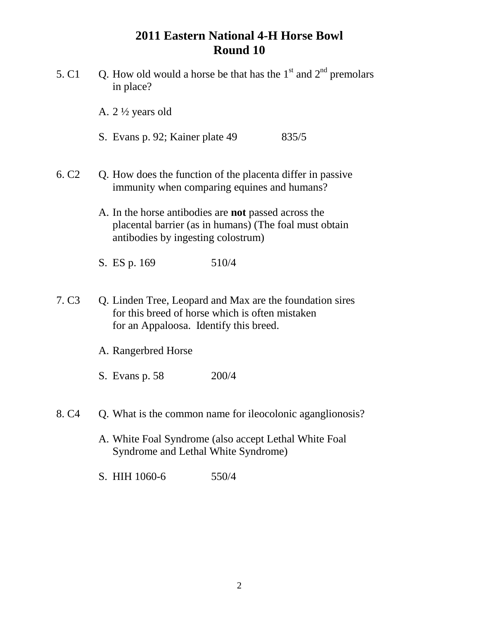- 5. C1 O. How old would a horse be that has the  $1<sup>st</sup>$  and  $2<sup>nd</sup>$  premolars in place?
	- A. 2 ½ years old
	- S. Evans p. 92; Kainer plate 49 835/5
- 6. C2 Q. How does the function of the placenta differ in passive immunity when comparing equines and humans?
	- A. In the horse antibodies are **not** passed across the placental barrier (as in humans) (The foal must obtain antibodies by ingesting colostrum)
	- S. ES p. 169 510/4
- 7. C3 Q. Linden Tree, Leopard and Max are the foundation sires for this breed of horse which is often mistaken for an Appaloosa. Identify this breed.
	- A. Rangerbred Horse
	- S. Evans p. 58 200/4
- 8. C4 Q. What is the common name for ileocolonic aganglionosis?
	- A. White Foal Syndrome (also accept Lethal White Foal Syndrome and Lethal White Syndrome)
	- S. HIH 1060-6 550/4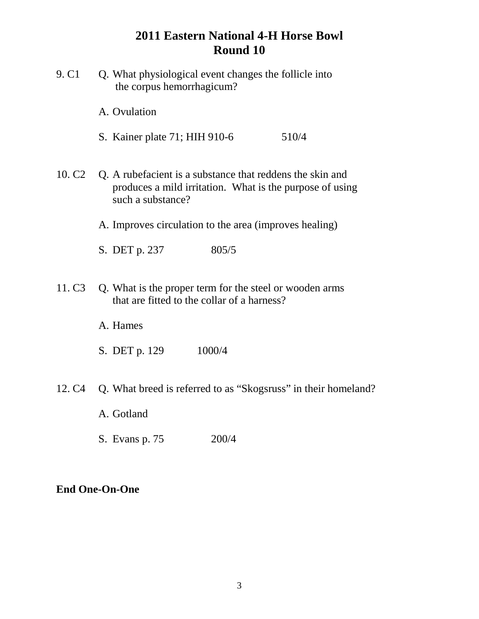- 9. C1 Q. What physiological event changes the follicle into the corpus hemorrhagicum?
	- A. Ovulation
	- S. Kainer plate 71; HIH 910-6 510/4
- 10. C2 Q. A rubefacient is a substance that reddens the skin and produces a mild irritation. What is the purpose of using such a substance?
	- A. Improves circulation to the area (improves healing)
	- S. DET p. 237 805/5
- 11. C3 Q. What is the proper term for the steel or wooden arms that are fitted to the collar of a harness?
	- A. Hames
	- S. DET p. 129 1000/4
- 12. C4 Q. What breed is referred to as "Skogsruss" in their homeland?
	- A. Gotland
	- S. Evans p. 75 200/4

#### **End One-On-One**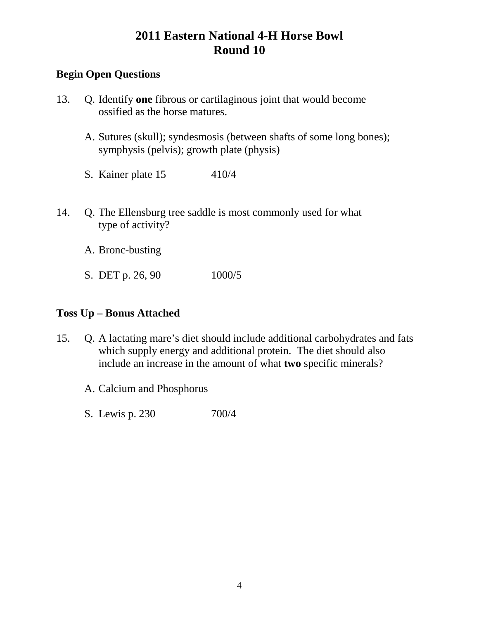### **Begin Open Questions**

- 13. Q. Identify **one** fibrous or cartilaginous joint that would become ossified as the horse matures.
	- A. Sutures (skull); syndesmosis (between shafts of some long bones); symphysis (pelvis); growth plate (physis)
	- S. Kainer plate 15 410/4
- 14. Q. The Ellensburg tree saddle is most commonly used for what type of activity?
	- A. Bronc-busting
	- S. DET p. 26, 90 1000/5

### **Toss Up – Bonus Attached**

- 15. Q. A lactating mare's diet should include additional carbohydrates and fats which supply energy and additional protein. The diet should also include an increase in the amount of what **two** specific minerals?
	- A. Calcium and Phosphorus
	- S. Lewis p. 230 700/4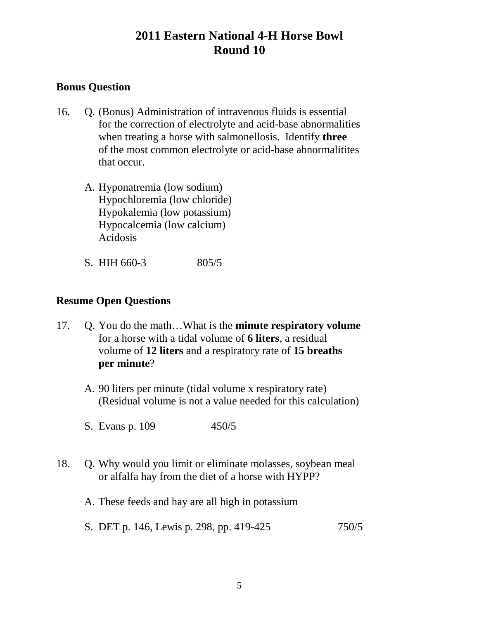### **Bonus Question**

- 16. Q. (Bonus) Administration of intravenous fluids is essential for the correction of electrolyte and acid-base abnormalities when treating a horse with salmonellosis. Identify **three** of the most common electrolyte or acid-base abnormalitites that occur.
	- A. Hyponatremia (low sodium) Hypochloremia (low chloride) Hypokalemia (low potassium) Hypocalcemia (low calcium) Acidosis
	- S. HIH 660-3 805/5

#### **Resume Open Questions**

- 17. Q. You do the math…What is the **minute respiratory volume** for a horse with a tidal volume of **6 liters**, a residual volume of **12 liters** and a respiratory rate of **15 breaths per minute**?
	- A. 90 liters per minute (tidal volume x respiratory rate) (Residual volume is not a value needed for this calculation)
	- S. Evans p. 109 450/5
- 18. Q. Why would you limit or eliminate molasses, soybean meal or alfalfa hay from the diet of a horse with HYPP?
	- A. These feeds and hay are all high in potassium
	- S. DET p. 146, Lewis p. 298, pp. 419-425 750/5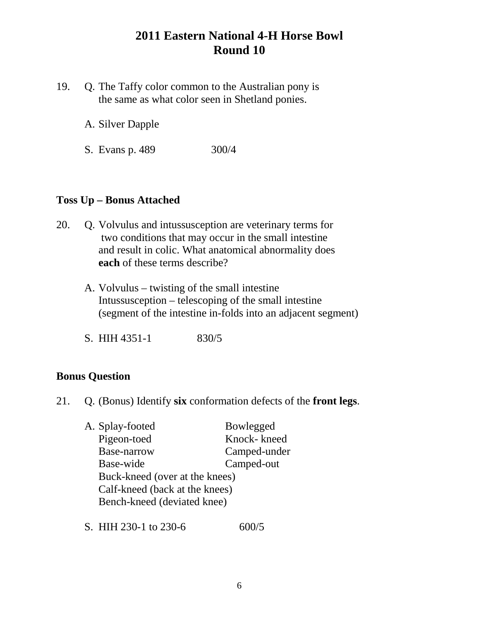- 19. Q. The Taffy color common to the Australian pony is the same as what color seen in Shetland ponies.
	- A. Silver Dapple
	- S. Evans p. 489 300/4

#### **Toss Up – Bonus Attached**

- 20. Q. Volvulus and intussusception are veterinary terms for two conditions that may occur in the small intestine and result in colic. What anatomical abnormality does **each** of these terms describe?
	- A. Volvulus twisting of the small intestine Intussusception – telescoping of the small intestine (segment of the intestine in-folds into an adjacent segment)
	- S. HIH 4351-1 830/5

#### **Bonus Question**

21. Q. (Bonus) Identify **six** conformation defects of the **front legs**.

| A. Splay-footed                | Bowlegged    |
|--------------------------------|--------------|
| Pigeon-toed                    | Knock-kneed  |
| Base-narrow                    | Camped-under |
| Base-wide                      | Camped-out   |
| Buck-kneed (over at the knees) |              |
| Calf-kneed (back at the knees) |              |
| Bench-kneed (deviated knee)    |              |
|                                |              |

S. HIH 230-1 to 230-6 600/5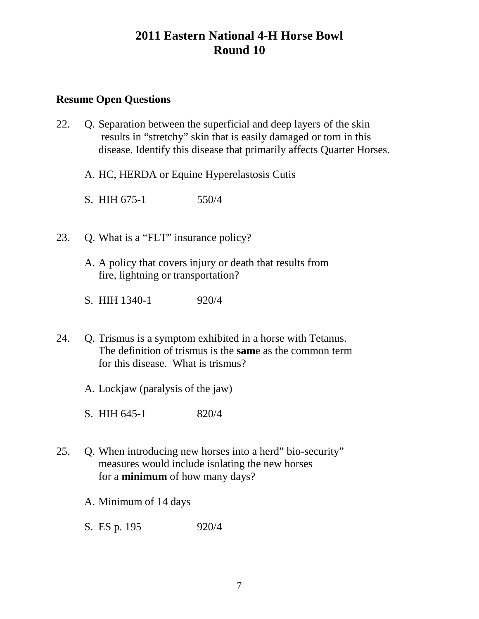#### **Resume Open Questions**

- 22. Q. Separation between the superficial and deep layers of the skin results in "stretchy" skin that is easily damaged or torn in this disease. Identify this disease that primarily affects Quarter Horses.
	- A. HC, HERDA or Equine Hyperelastosis Cutis
	- S. HIH 675-1 550/4
- 23. Q. What is a "FLT" insurance policy?
	- A. A policy that covers injury or death that results from fire, lightning or transportation?
	- S. HIH 1340-1 920/4
- 24. Q. Trismus is a symptom exhibited in a horse with Tetanus. The definition of trismus is the **sam**e as the common term for this disease. What is trismus?
	- A. Lockjaw (paralysis of the jaw)
	- S. HIH 645-1 820/4
- 25. Q. When introducing new horses into a herd" bio-security" measures would include isolating the new horses for a **minimum** of how many days?
	- A. Minimum of 14 days
	- S. ES p. 195 920/4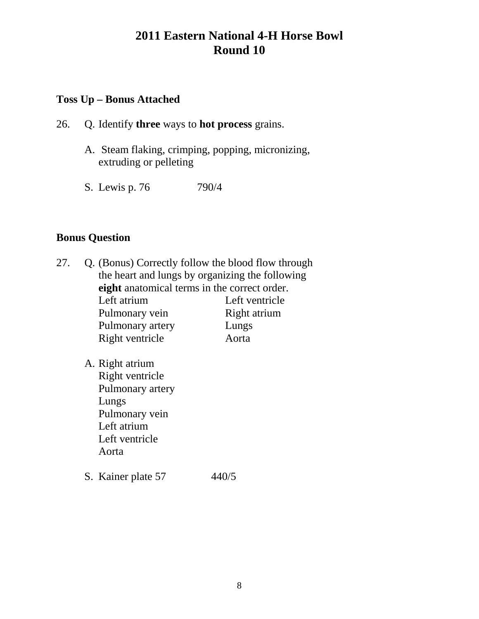#### **Toss Up – Bonus Attached**

- 26. Q. Identify **three** ways to **hot process** grains.
	- A. Steam flaking, crimping, popping, micronizing, extruding or pelleting
	- S. Lewis p. 76 790/4

#### **Bonus Question**

- 27. Q. (Bonus) Correctly follow the blood flow through the heart and lungs by organizing the following **eight** anatomical terms in the correct order. Left atrium Left ventricle Pulmonary vein Right atrium Pulmonary artery Lungs Right ventricle Aorta
	- A. Right atrium Right ventricle Pulmonary artery Lungs Pulmonary vein Left atrium Left ventricle Aorta
	- S. Kainer plate 57 440/5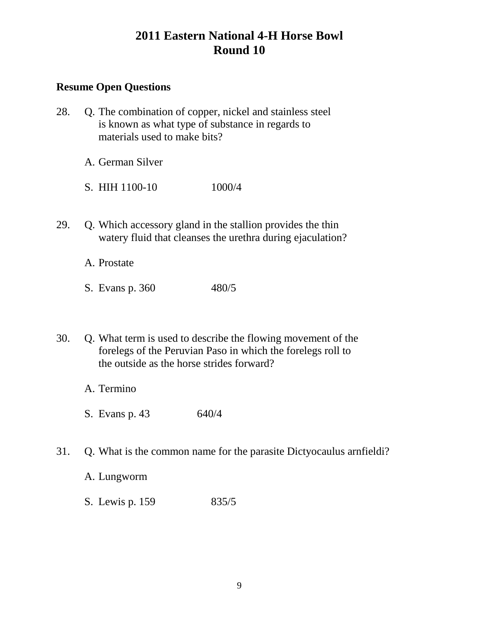### **Resume Open Questions**

- 28. Q. The combination of copper, nickel and stainless steel is known as what type of substance in regards to materials used to make bits?
	- A. German Silver
	- S. HIH 1100-10 1000/4
- 29. Q. Which accessory gland in the stallion provides the thin watery fluid that cleanses the urethra during ejaculation?

A. Prostate

- S. Evans p. 360 480/5
- 30. Q. What term is used to describe the flowing movement of the forelegs of the Peruvian Paso in which the forelegs roll to the outside as the horse strides forward?
	- A. Termino
	- S. Evans p. 43 640/4
- 31. Q. What is the common name for the parasite Dictyocaulus arnfieldi?
	- A. Lungworm
	- S. Lewis p. 159 835/5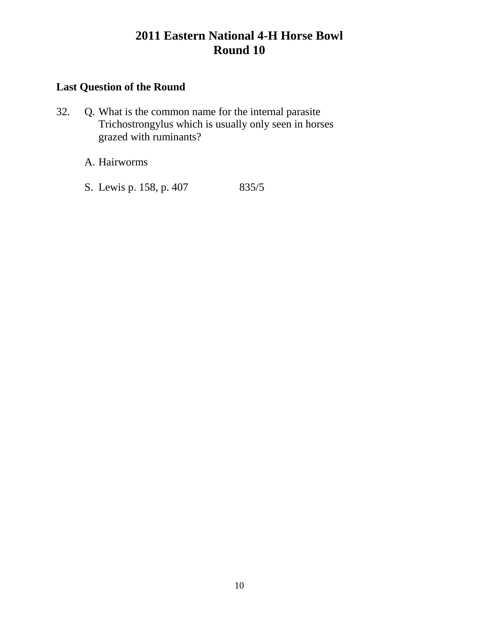### **Last Question of the Round**

- 32. Q. What is the common name for the internal parasite Trichostrongylus which is usually only seen in horses grazed with ruminants?
	- A. Hairworms
	- S. Lewis p. 158, p. 407 835/5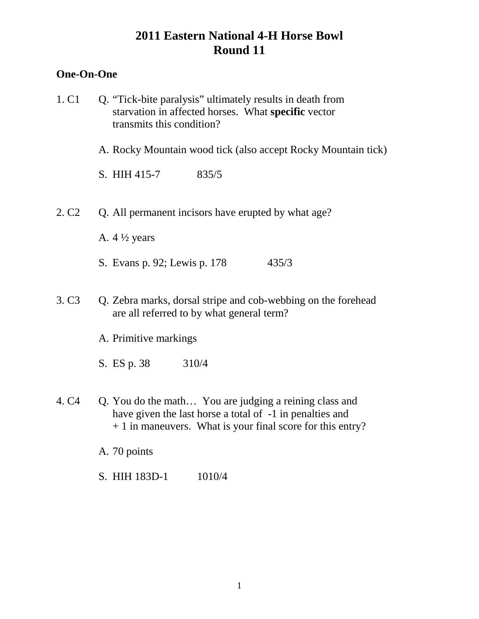### **One-On-One**

- 1. C1 Q. "Tick-bite paralysis" ultimately results in death from starvation in affected horses. What **specific** vector transmits this condition?
	- A. Rocky Mountain wood tick (also accept Rocky Mountain tick)
	- S. HIH 415-7 835/5
- 2. C2 Q. All permanent incisors have erupted by what age?
	- A. 4 ½ years
	- S. Evans p. 92; Lewis p. 178 435/3
- 3. C3 Q. Zebra marks, dorsal stripe and cob-webbing on the forehead are all referred to by what general term?
	- A. Primitive markings
	- S. ES p. 38 310/4
- 4. C4 Q. You do the math... You are judging a reining class and have given the last horse a total of  $-1$  in penalties and + 1 in maneuvers. What is your final score for this entry?
	- A. 70 points
	- S. HIH 183D-1 1010/4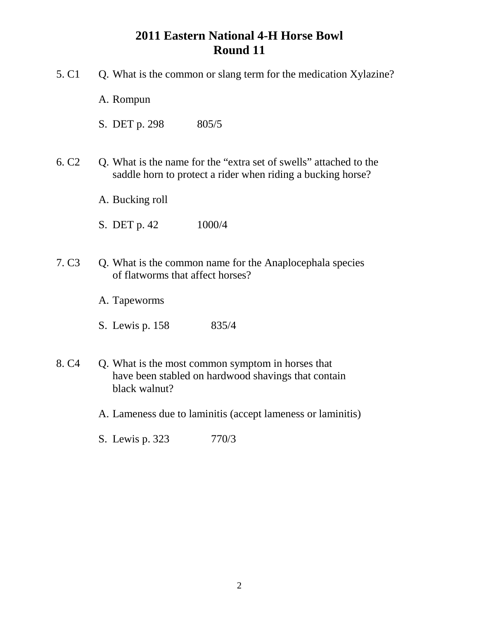- 5. C1 Q. What is the common or slang term for the medication Xylazine?
	- A. Rompun
	- S. DET p. 298 805/5
- 6. C2 Q. What is the name for the "extra set of swells" attached to the saddle horn to protect a rider when riding a bucking horse?
	- A. Bucking roll
	- S. DET p. 42 1000/4
- 7. C3 Q. What is the common name for the Anaplocephala species of flatworms that affect horses?
	- A. Tapeworms
	- S. Lewis p. 158 835/4
- 8. C4 Q. What is the most common symptom in horses that have been stabled on hardwood shavings that contain black walnut?
	- A. Lameness due to laminitis (accept lameness or laminitis)
	- S. Lewis p. 323 770/3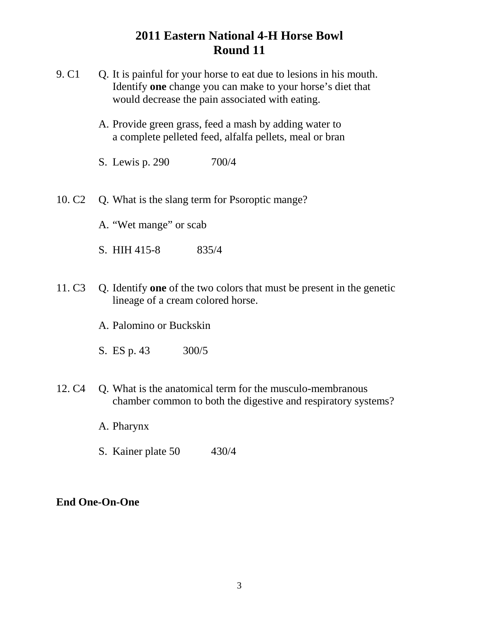- 9. C1 O. It is painful for your horse to eat due to lesions in his mouth. Identify **one** change you can make to your horse's diet that would decrease the pain associated with eating.
	- A. Provide green grass, feed a mash by adding water to a complete pelleted feed, alfalfa pellets, meal or bran
	- S. Lewis p. 290 700/4
- 10. C2 Q. What is the slang term for Psoroptic mange?
	- A. "Wet mange" or scab
	- S. HIH 415-8 835/4
- 11. C3 Q. Identify **one** of the two colors that must be present in the genetic lineage of a cream colored horse.
	- A. Palomino or Buckskin
	- S. ES p. 43 300/5
- 12. C4 Q. What is the anatomical term for the musculo-membranous chamber common to both the digestive and respiratory systems?
	- A. Pharynx
	- S. Kainer plate 50 430/4

#### **End One-On-One**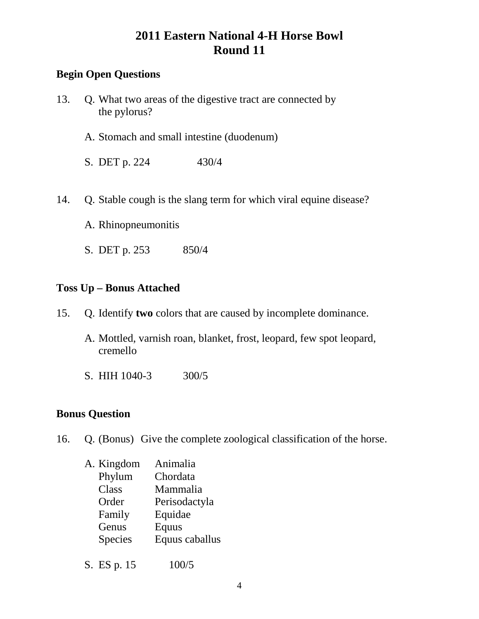### **Begin Open Questions**

- 13. Q. What two areas of the digestive tract are connected by the pylorus?
	- A. Stomach and small intestine (duodenum)
	- S. DET p. 224 430/4
- 14. Q. Stable cough is the slang term for which viral equine disease?
	- A. Rhinopneumonitis
	- S. DET p. 253 850/4

#### **Toss Up – Bonus Attached**

- 15. Q. Identify **two** colors that are caused by incomplete dominance.
	- A. Mottled, varnish roan, blanket, frost, leopard, few spot leopard, cremello
	- S. HIH 1040-3 300/5

### **Bonus Question**

- 16. Q. (Bonus) Give the complete zoological classification of the horse.
	- A. Kingdom Animalia Phylum Chordata Class Mammalia Order Perisodactyla Family Equidae Genus Equus Species Equus caballus
	- S. ES p. 15 100/5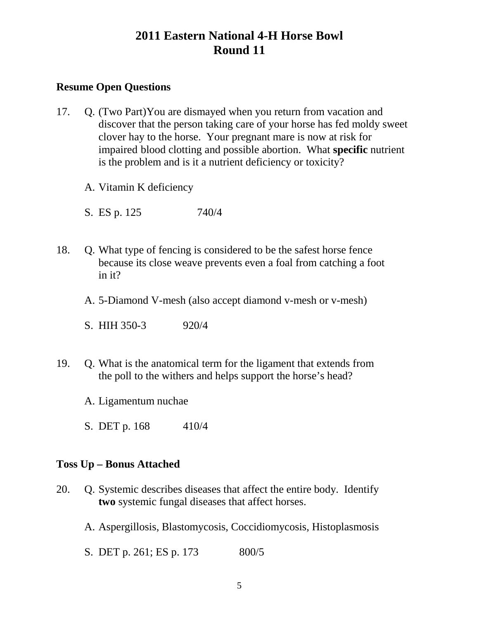#### **Resume Open Questions**

- 17. Q. (Two Part)You are dismayed when you return from vacation and discover that the person taking care of your horse has fed moldy sweet clover hay to the horse. Your pregnant mare is now at risk for impaired blood clotting and possible abortion. What **specific** nutrient is the problem and is it a nutrient deficiency or toxicity?
	- A. Vitamin K deficiency
	- S. ES p. 125 740/4
- 18. Q. What type of fencing is considered to be the safest horse fence because its close weave prevents even a foal from catching a foot in it?
	- A. 5-Diamond V-mesh (also accept diamond v-mesh or v-mesh)
	- S. HIH 350-3 920/4
- 19. Q. What is the anatomical term for the ligament that extends from the poll to the withers and helps support the horse's head?
	- A. Ligamentum nuchae
	- S. DET p. 168 410/4

#### **Toss Up – Bonus Attached**

- 20. Q. Systemic describes diseases that affect the entire body. Identify **two** systemic fungal diseases that affect horses.
	- A. Aspergillosis, Blastomycosis, Coccidiomycosis, Histoplasmosis
	- S. DET p. 261; ES p. 173 800/5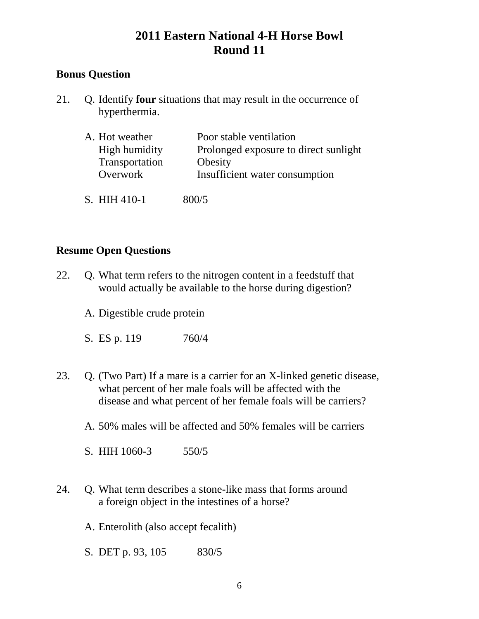### **Bonus Question**

21. Q. Identify **four** situations that may result in the occurrence of hyperthermia.

| A. Hot weather | Poor stable ventilation               |
|----------------|---------------------------------------|
| High humidity  | Prolonged exposure to direct sunlight |
| Transportation | Obesity                               |
| Overwork       | Insufficient water consumption        |
| S. HIH 410-1   | 800/5                                 |

#### **Resume Open Questions**

- 22. Q. What term refers to the nitrogen content in a feedstuff that would actually be available to the horse during digestion?
	- A. Digestible crude protein
	- S. ES p. 119 760/4
- 23. Q. (Two Part) If a mare is a carrier for an X-linked genetic disease, what percent of her male foals will be affected with the disease and what percent of her female foals will be carriers?
	- A. 50% males will be affected and 50% females will be carriers
	- S. HIH 1060-3 550/5
- 24. Q. What term describes a stone-like mass that forms around a foreign object in the intestines of a horse?
	- A. Enterolith (also accept fecalith)
	- S. DET p. 93, 105 830/5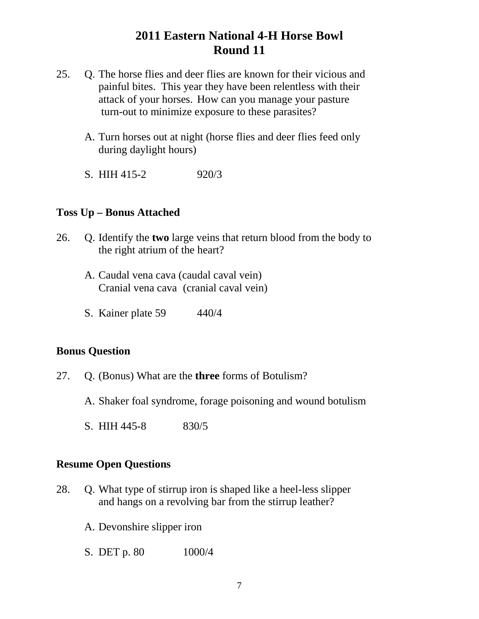- 25. Q. The horse flies and deer flies are known for their vicious and painful bites. This year they have been relentless with their attack of your horses. How can you manage your pasture turn-out to minimize exposure to these parasites?
	- A. Turn horses out at night (horse flies and deer flies feed only during daylight hours)
	- S. HIH 415-2 920/3

#### **Toss Up – Bonus Attached**

- 26. Q. Identify the **two** large veins that return blood from the body to the right atrium of the heart?
	- A. Caudal vena cava (caudal caval vein) Cranial vena cava (cranial caval vein)
	- S. Kainer plate 59 440/4

#### **Bonus Question**

- 27. Q. (Bonus) What are the **three** forms of Botulism?
	- A. Shaker foal syndrome, forage poisoning and wound botulism
	- S. HIH 445-8 830/5

#### **Resume Open Questions**

- 28. Q. What type of stirrup iron is shaped like a heel-less slipper and hangs on a revolving bar from the stirrup leather?
	- A. Devonshire slipper iron
	- S. DET p. 80 1000/4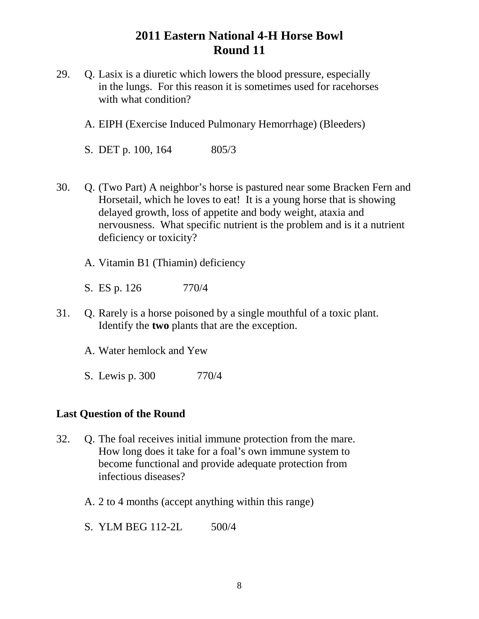- 29. Q. Lasix is a diuretic which lowers the blood pressure, especially in the lungs. For this reason it is sometimes used for racehorses with what condition?
	- A. EIPH (Exercise Induced Pulmonary Hemorrhage) (Bleeders)
	- S. DET p. 100, 164 805/3
- 30. Q. (Two Part) A neighbor's horse is pastured near some Bracken Fern and Horsetail, which he loves to eat! It is a young horse that is showing delayed growth, loss of appetite and body weight, ataxia and nervousness. What specific nutrient is the problem and is it a nutrient deficiency or toxicity?
	- A. Vitamin B1 (Thiamin) deficiency
	- S. ES p. 126 770/4
- 31. Q. Rarely is a horse poisoned by a single mouthful of a toxic plant. Identify the **two** plants that are the exception.
	- A. Water hemlock and Yew
	- S. Lewis p. 300 770/4

#### **Last Question of the Round**

- 32. Q. The foal receives initial immune protection from the mare. How long does it take for a foal's own immune system to become functional and provide adequate protection from infectious diseases?
	- A. 2 to 4 months (accept anything within this range)
	- S. YLM BEG 112-2L 500/4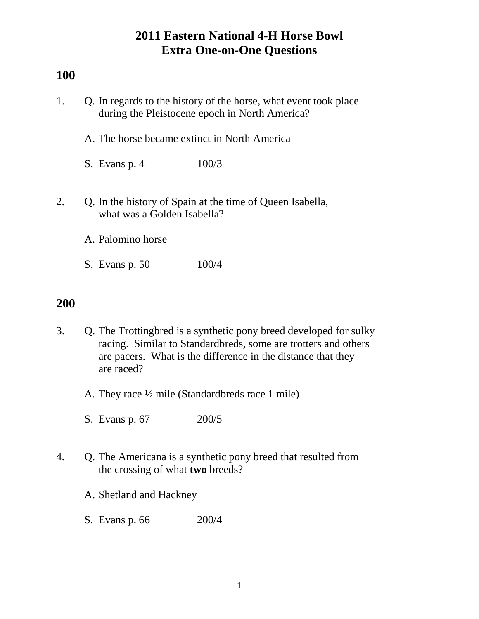## **100**

- 1. Q. In regards to the history of the horse, what event took place during the Pleistocene epoch in North America?
	- A. The horse became extinct in North America
	- S. Evans p. 4 100/3
- 2. Q. In the history of Spain at the time of Queen Isabella, what was a Golden Isabella?
	- A. Palomino horse
	- S. Evans p. 50 100/4

- 3. Q. The Trottingbred is a synthetic pony breed developed for sulky racing. Similar to Standardbreds, some are trotters and others are pacers. What is the difference in the distance that they are raced?
	- A. They race ½ mile (Standardbreds race 1 mile)
	- S. Evans p. 67 200/5
- 4. Q. The Americana is a synthetic pony breed that resulted from the crossing of what **two** breeds?
	- A. Shetland and Hackney
	- S. Evans p. 66 200/4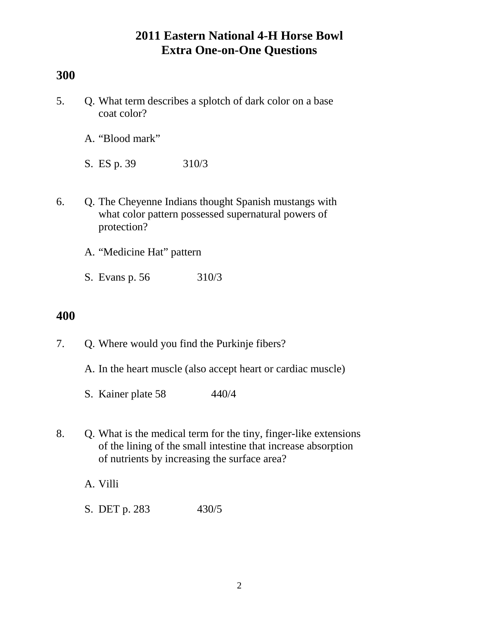## **300**

- 5. Q. What term describes a splotch of dark color on a base coat color?
	- A. "Blood mark"
	- S. ES p. 39 310/3
- 6. Q. The Cheyenne Indians thought Spanish mustangs with what color pattern possessed supernatural powers of protection?
	- A. "Medicine Hat" pattern
	- S. Evans p. 56 310/3

- 7. Q. Where would you find the Purkinje fibers?
	- A. In the heart muscle (also accept heart or cardiac muscle)
	- S. Kainer plate 58 440/4
- 8. Q. What is the medical term for the tiny, finger-like extensions of the lining of the small intestine that increase absorption of nutrients by increasing the surface area?
	- A. Villi
	- S. DET p. 283 430/5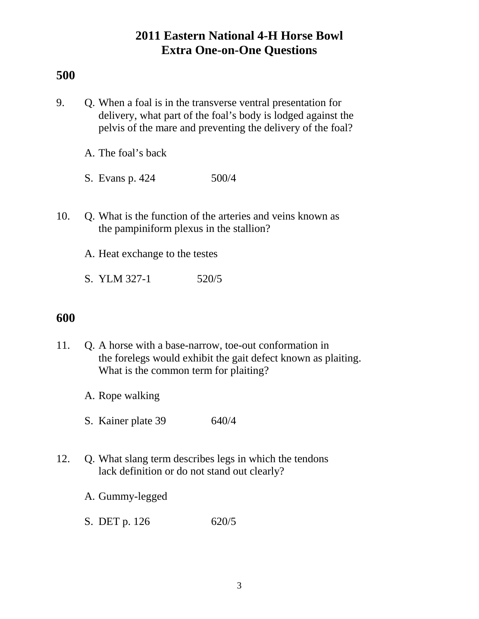### **500**

- 9. Q. When a foal is in the transverse ventral presentation for delivery, what part of the foal's body is lodged against the pelvis of the mare and preventing the delivery of the foal?
	- A. The foal's back
	- S. Evans p. 424 500/4
- 10. Q. What is the function of the arteries and veins known as the pampiniform plexus in the stallion?
	- A. Heat exchange to the testes
	- S. YLM 327-1 520/5

- 11. Q. A horse with a base-narrow, toe-out conformation in the forelegs would exhibit the gait defect known as plaiting. What is the common term for plaiting?
	- A. Rope walking
	- S. Kainer plate 39 640/4
- 12. Q. What slang term describes legs in which the tendons lack definition or do not stand out clearly?
	- A. Gummy-legged
	- S. DET p. 126 620/5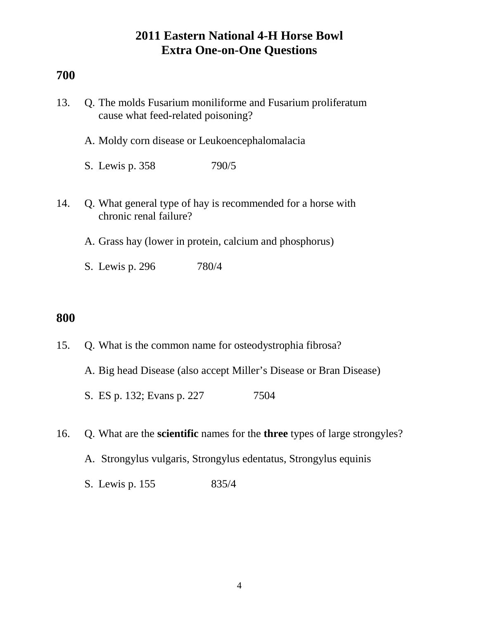### **700**

| 13. | Q. The molds Fusarium monifforme and Fusarium proliferatum<br>cause what feed-related poisoning? |  |
|-----|--------------------------------------------------------------------------------------------------|--|
|     | A. Moldy corn disease or Leukoencephalomalacia                                                   |  |
|     | 790/5<br>S. Lewis p. 358                                                                         |  |
| 14. | Q. What general type of hay is recommended for a horse with<br>chronic renal failure?            |  |
|     | A. Grass hay (lower in protein, calcium and phosphorus)                                          |  |
|     | 780/4<br>S. Lewis p. 296                                                                         |  |

- 15. Q. What is the common name for osteodystrophia fibrosa? A. Big head Disease (also accept Miller's Disease or Bran Disease) S. ES p. 132; Evans p. 227 7504
- 16. Q. What are the **scientific** names for the **three** types of large strongyles?
	- A. Strongylus vulgaris, Strongylus edentatus, Strongylus equinis
	- S. Lewis p. 155 835/4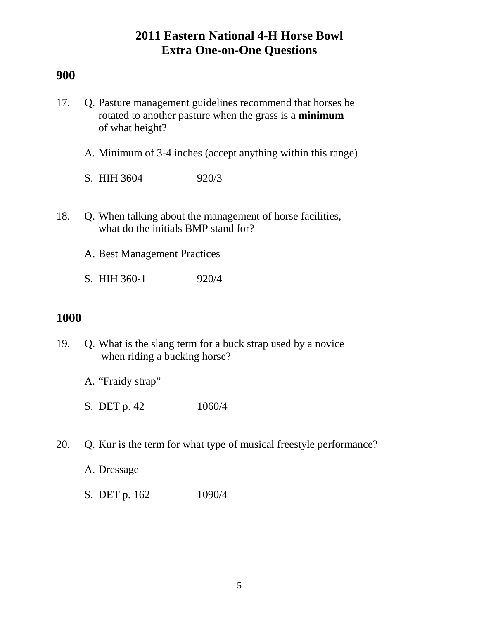### **900**

- 17. Q. Pasture management guidelines recommend that horses be rotated to another pasture when the grass is a **minimum** of what height?
	- A. Minimum of 3-4 inches (accept anything within this range)
	- S. HIH 3604 920/3
- 18. Q. When talking about the management of horse facilities, what do the initials BMP stand for?
	- A. Best Management Practices
	- S. HIH 360-1 920/4

- 19. Q. What is the slang term for a buck strap used by a novice when riding a bucking horse?
	- A. "Fraidy strap"
	- S. DET p. 42 1060/4
- 20. Q. Kur is the term for what type of musical freestyle performance?
	- A. Dressage
	- S. DET p. 162 1090/4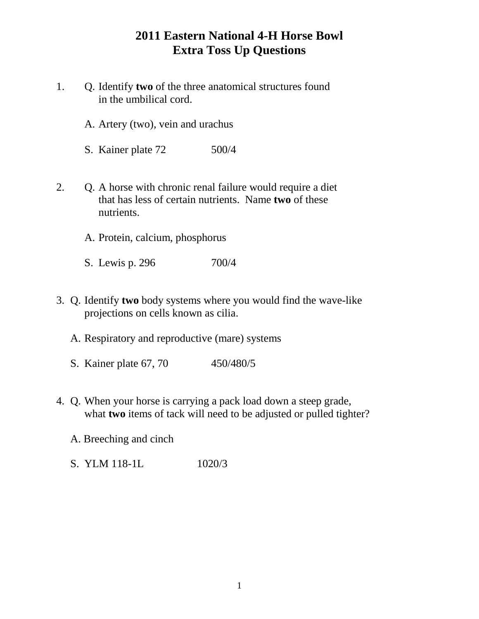# **2011 Eastern National 4-H Horse Bowl Extra Toss Up Questions**

- 1. Q. Identify **two** of the three anatomical structures found in the umbilical cord.
	- A. Artery (two), vein and urachus
	- S. Kainer plate 72 500/4
- 2. Q. A horse with chronic renal failure would require a diet that has less of certain nutrients. Name **two** of these nutrients.
	- A. Protein, calcium, phosphorus
	- S. Lewis p. 296 700/4
- 3. Q. Identify **two** body systems where you would find the wave-like projections on cells known as cilia.
	- A. Respiratory and reproductive (mare) systems
	- S. Kainer plate 67, 70 450/480/5
- 4. Q. When your horse is carrying a pack load down a steep grade, what **two** items of tack will need to be adjusted or pulled tighter?
	- A. Breeching and cinch
	- S. YLM 118-1L 1020/3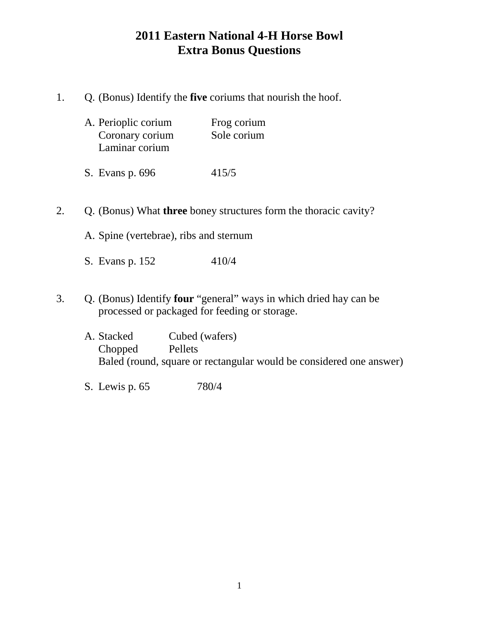# **2011 Eastern National 4-H Horse Bowl Extra Bonus Questions**

1. Q. (Bonus) Identify the **five** coriums that nourish the hoof.

| Frog corium |
|-------------|
| Sole corium |
|             |
|             |

- S. Evans p. 696 415/5
- 2. Q. (Bonus) What **three** boney structures form the thoracic cavity?
	- A. Spine (vertebrae), ribs and sternum
	- S. Evans p. 152 410/4
- 3. Q. (Bonus) Identify **four** "general" ways in which dried hay can be processed or packaged for feeding or storage.
	- A. Stacked Cubed (wafers) Chopped Pellets Baled (round, square or rectangular would be considered one answer)
	- S. Lewis p. 65 780/4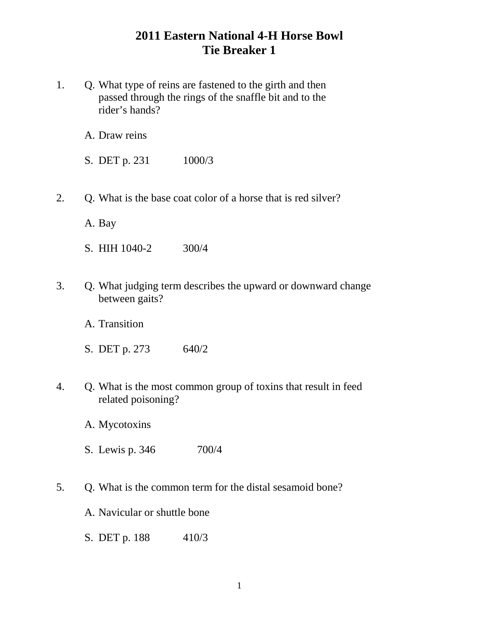# **2011 Eastern National 4-H Horse Bowl Tie Breaker 1**

1. Q. What type of reins are fastened to the girth and then passed through the rings of the snaffle bit and to the rider's hands?

A. Draw reins

S. DET p. 231 1000/3

2. Q. What is the base coat color of a horse that is red silver?

A. Bay

- S. HIH 1040-2 300/4
- 3. Q. What judging term describes the upward or downward change between gaits?
	- A. Transition
	- S. DET p. 273 640/2
- 4. Q. What is the most common group of toxins that result in feed related poisoning?
	- A. Mycotoxins
	- S. Lewis p. 346 700/4
- 5. Q. What is the common term for the distal sesamoid bone?
	- A. Navicular or shuttle bone
	- S. DET p. 188 410/3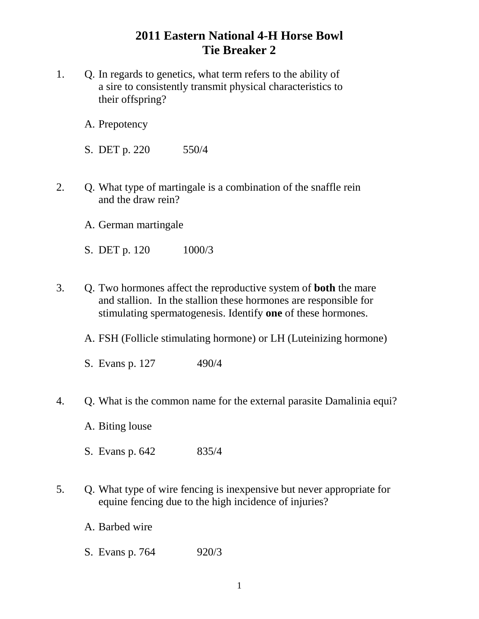# **2011 Eastern National 4-H Horse Bowl Tie Breaker 2**

- 1. Q. In regards to genetics, what term refers to the ability of a sire to consistently transmit physical characteristics to their offspring?
	- A. Prepotency
	- S. DET p. 220 550/4
- 2. Q. What type of martingale is a combination of the snaffle rein and the draw rein?
	- A. German martingale
	- S. DET p. 120 1000/3
- 3. Q. Two hormones affect the reproductive system of **both** the mare and stallion. In the stallion these hormones are responsible for stimulating spermatogenesis. Identify **one** of these hormones.
	- A. FSH (Follicle stimulating hormone) or LH (Luteinizing hormone)
	- S. Evans p. 127 490/4
- 4. Q. What is the common name for the external parasite Damalinia equi?
	- A. Biting louse
	- S. Evans p. 642 835/4
- 5. Q. What type of wire fencing is inexpensive but never appropriate for equine fencing due to the high incidence of injuries?
	- A. Barbed wire
	- S. Evans p. 764 920/3